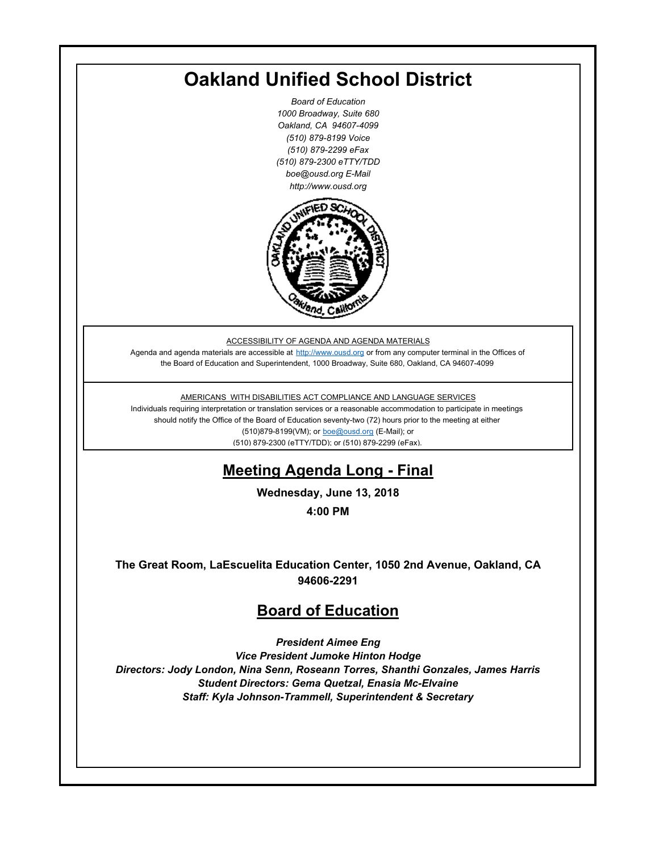## **Oakland Unified School District**

*Board of Education 1000 Broadway, Suite 680 Oakland, CA 94607-4099 (510) 879-8199 Voice (510) 879-2299 eFax (510) 879-2300 eTTY/TDD boe@ousd.org E-Mail http://www.ousd.org*



ACCESSIBILITY OF AGENDA AND AGENDA MATERIALS

Agenda and agenda materials are accessible at http://www.ousd.org or from any computer terminal in the Offices of the Board of Education and Superintendent, 1000 Broadway, Suite 680, Oakland, CA 94607-4099

AMERICANS WITH DISABILITIES ACT COMPLIANCE AND LANGUAGE SERVICES

Individuals requiring interpretation or translation services or a reasonable accommodation to participate in meetings should notify the Office of the Board of Education seventy-two (72) hours prior to the meeting at either (510)879-8199(VM); or boe@ousd.org (E-Mail); or (510) 879-2300 (eTTY/TDD); or (510) 879-2299 (eFax).

## **Meeting Agenda Long - Final**

**Wednesday, June 13, 2018**

**4:00 PM**

**The Great Room, LaEscuelita Education Center, 1050 2nd Avenue, Oakland, CA 94606-2291**

## **Board of Education**

*President Aimee Eng Vice President Jumoke Hinton Hodge Directors: Jody London, Nina Senn, Roseann Torres, Shanthi Gonzales, James Harris Student Directors: Gema Quetzal, Enasia Mc-Elvaine Staff: Kyla Johnson-Trammell, Superintendent & Secretary*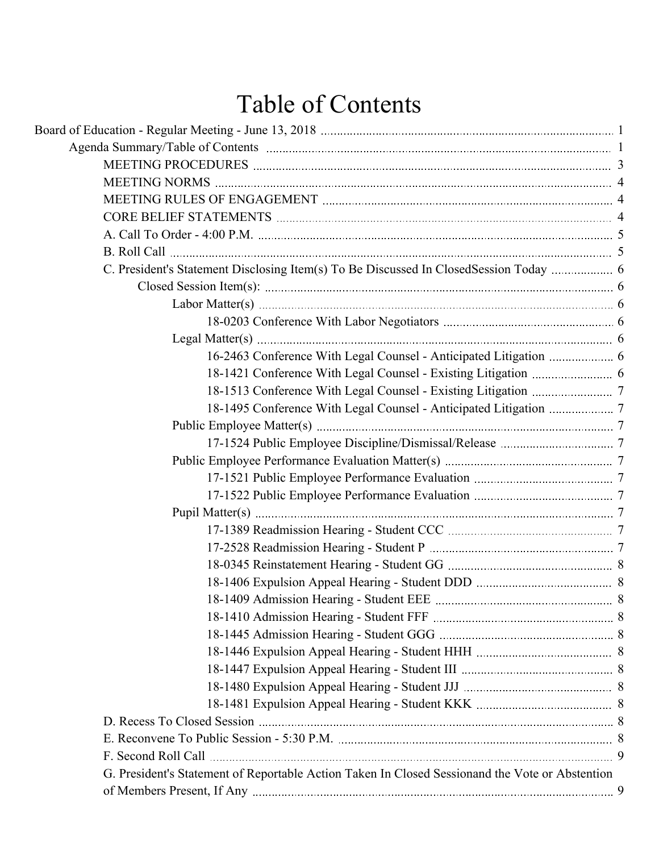# Table of Contents

| G. President's Statement of Reportable Action Taken In Closed Sessionand the Vote or Abstention |  |
|-------------------------------------------------------------------------------------------------|--|
|                                                                                                 |  |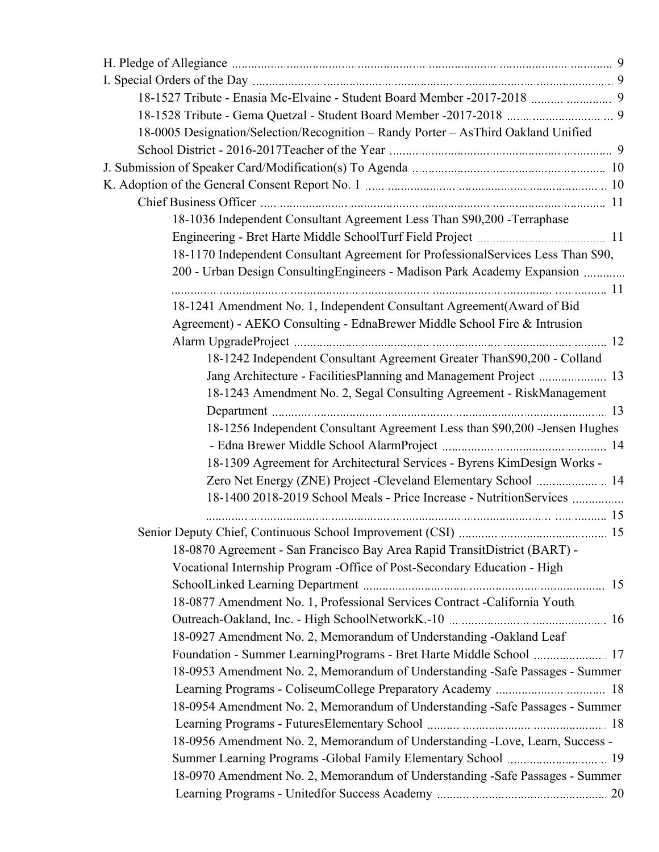| 18-1527 Tribute - Enasia Mc-Elvaine - Student Board Member -2017-2018  9           |  |
|------------------------------------------------------------------------------------|--|
|                                                                                    |  |
| 18-0005 Designation/Selection/Recognition - Randy Porter - AsThird Oakland Unified |  |
|                                                                                    |  |
|                                                                                    |  |
|                                                                                    |  |
|                                                                                    |  |
| 18-1036 Independent Consultant Agreement Less Than \$90,200 - Terraphase           |  |
|                                                                                    |  |
| 18-1170 Independent Consultant Agreement for ProfessionalServices Less Than \$90,  |  |
| 200 - Urban Design Consulting Engineers - Madison Park Academy Expansion           |  |
|                                                                                    |  |
| 18-1241 Amendment No. 1, Independent Consultant Agreement(Award of Bid             |  |
| Agreement) - AEKO Consulting - EdnaBrewer Middle School Fire & Intrusion           |  |
|                                                                                    |  |
| 18-1242 Independent Consultant Agreement Greater Than \$90,200 - Colland           |  |
| Jang Architecture - FacilitiesPlanning and Management Project  13                  |  |
| 18-1243 Amendment No. 2, Segal Consulting Agreement - RiskManagement               |  |
|                                                                                    |  |
| 18-1256 Independent Consultant Agreement Less than \$90,200 -Jensen Hughes         |  |
|                                                                                    |  |
| 18-1309 Agreement for Architectural Services - Byrens KimDesign Works -            |  |
| Zero Net Energy (ZNE) Project - Cleveland Elementary School  14                    |  |
| 18-1400 2018-2019 School Meals - Price Increase - NutritionServices                |  |
|                                                                                    |  |
|                                                                                    |  |
| 18-0870 Agreement - San Francisco Bay Area Rapid TransitDistrict (BART) -          |  |
| Vocational Internship Program - Office of Post-Secondary Education - High          |  |
|                                                                                    |  |
| 18-0877 Amendment No. 1, Professional Services Contract -California Youth          |  |
|                                                                                    |  |
| 18-0927 Amendment No. 2, Memorandum of Understanding -Oakland Leaf                 |  |
|                                                                                    |  |
| 18-0953 Amendment No. 2, Memorandum of Understanding -Safe Passages - Summer       |  |
|                                                                                    |  |
| 18-0954 Amendment No. 2, Memorandum of Understanding -Safe Passages - Summer       |  |
|                                                                                    |  |
| 18-0956 Amendment No. 2, Memorandum of Understanding -Love, Learn, Success -       |  |
|                                                                                    |  |
| 18-0970 Amendment No. 2, Memorandum of Understanding -Safe Passages - Summer       |  |
|                                                                                    |  |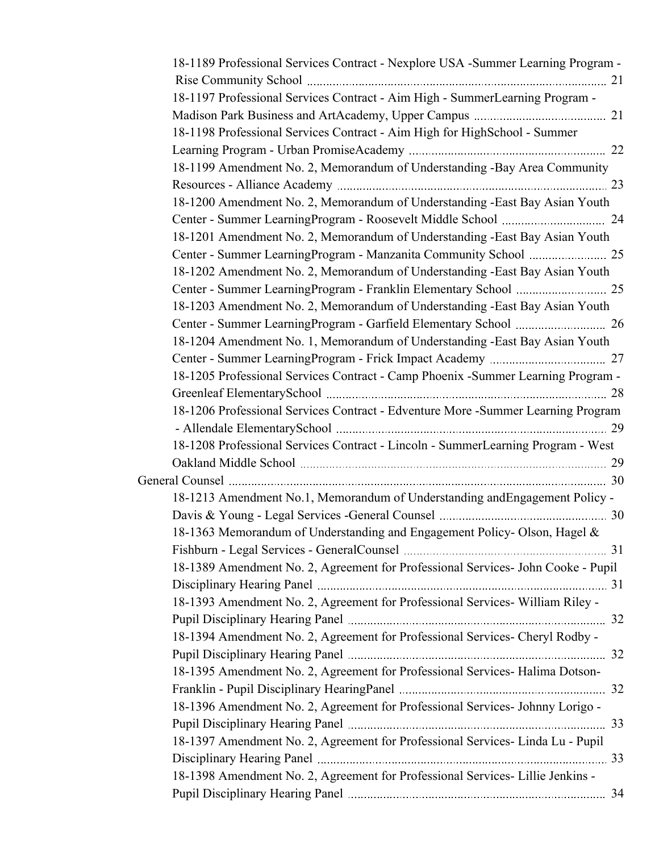| 18-1189 Professional Services Contract - Nexplore USA -Summer Learning Program -  |
|-----------------------------------------------------------------------------------|
|                                                                                   |
| 18-1197 Professional Services Contract - Aim High - SummerLearning Program -      |
|                                                                                   |
| 18-1198 Professional Services Contract - Aim High for HighSchool - Summer         |
|                                                                                   |
| 18-1199 Amendment No. 2, Memorandum of Understanding -Bay Area Community          |
|                                                                                   |
| 18-1200 Amendment No. 2, Memorandum of Understanding -East Bay Asian Youth        |
|                                                                                   |
| 18-1201 Amendment No. 2, Memorandum of Understanding -East Bay Asian Youth        |
|                                                                                   |
| 18-1202 Amendment No. 2, Memorandum of Understanding -East Bay Asian Youth        |
|                                                                                   |
| 18-1203 Amendment No. 2, Memorandum of Understanding -East Bay Asian Youth        |
|                                                                                   |
| 18-1204 Amendment No. 1, Memorandum of Understanding -East Bay Asian Youth        |
|                                                                                   |
| 18-1205 Professional Services Contract - Camp Phoenix - Summer Learning Program - |
|                                                                                   |
| 18-1206 Professional Services Contract - Edventure More -Summer Learning Program  |
|                                                                                   |
| 18-1208 Professional Services Contract - Lincoln - SummerLearning Program - West  |
|                                                                                   |
|                                                                                   |
| 18-1213 Amendment No.1, Memorandum of Understanding and Engagement Policy -       |
|                                                                                   |
| 18-1363 Memorandum of Understanding and Engagement Policy- Olson, Hagel &         |
|                                                                                   |
| 18-1389 Amendment No. 2, Agreement for Professional Services- John Cooke - Pupil  |
|                                                                                   |
| 18-1393 Amendment No. 2, Agreement for Professional Services-William Riley -      |
|                                                                                   |
| 18-1394 Amendment No. 2, Agreement for Professional Services- Cheryl Rodby -      |
|                                                                                   |
| 18-1395 Amendment No. 2, Agreement for Professional Services- Halima Dotson-      |
|                                                                                   |
| 18-1396 Amendment No. 2, Agreement for Professional Services- Johnny Lorigo -     |
|                                                                                   |
| 18-1397 Amendment No. 2, Agreement for Professional Services- Linda Lu - Pupil    |
|                                                                                   |
| 18-1398 Amendment No. 2, Agreement for Professional Services- Lillie Jenkins -    |
|                                                                                   |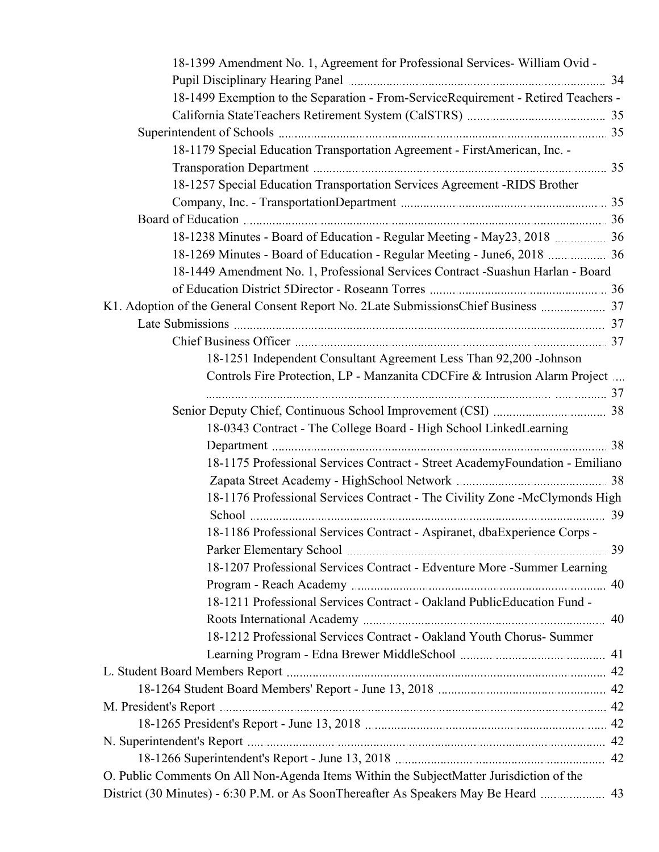| 18-1399 Amendment No. 1, Agreement for Professional Services- William Ovid -            |  |
|-----------------------------------------------------------------------------------------|--|
|                                                                                         |  |
| 18-1499 Exemption to the Separation - From-ServiceRequirement - Retired Teachers -      |  |
|                                                                                         |  |
|                                                                                         |  |
| 18-1179 Special Education Transportation Agreement - FirstAmerican, Inc. -              |  |
|                                                                                         |  |
| 18-1257 Special Education Transportation Services Agreement -RIDS Brother               |  |
|                                                                                         |  |
|                                                                                         |  |
| 18-1238 Minutes - Board of Education - Regular Meeting - May23, 2018  36                |  |
|                                                                                         |  |
| 18-1449 Amendment No. 1, Professional Services Contract -Suashun Harlan - Board         |  |
|                                                                                         |  |
| K1. Adoption of the General Consent Report No. 2Late SubmissionsChief Business  37      |  |
|                                                                                         |  |
|                                                                                         |  |
| 18-1251 Independent Consultant Agreement Less Than 92,200 -Johnson                      |  |
| Controls Fire Protection, LP - Manzanita CDCFire & Intrusion Alarm Project              |  |
|                                                                                         |  |
|                                                                                         |  |
| 18-0343 Contract - The College Board - High School LinkedLearning                       |  |
|                                                                                         |  |
| 18-1175 Professional Services Contract - Street AcademyFoundation - Emiliano            |  |
|                                                                                         |  |
| 18-1176 Professional Services Contract - The Civility Zone -McClymonds High             |  |
|                                                                                         |  |
| 18-1186 Professional Services Contract - Aspiranet, dbaExperience Corps -               |  |
|                                                                                         |  |
| 18-1207 Professional Services Contract - Edventure More -Summer Learning                |  |
|                                                                                         |  |
| 18-1211 Professional Services Contract - Oakland PublicEducation Fund -                 |  |
|                                                                                         |  |
| 18-1212 Professional Services Contract - Oakland Youth Chorus- Summer                   |  |
|                                                                                         |  |
|                                                                                         |  |
|                                                                                         |  |
|                                                                                         |  |
|                                                                                         |  |
|                                                                                         |  |
|                                                                                         |  |
| O. Public Comments On All Non-Agenda Items Within the SubjectMatter Jurisdiction of the |  |
| District (30 Minutes) - 6:30 P.M. or As SoonThereafter As Speakers May Be Heard  43     |  |
|                                                                                         |  |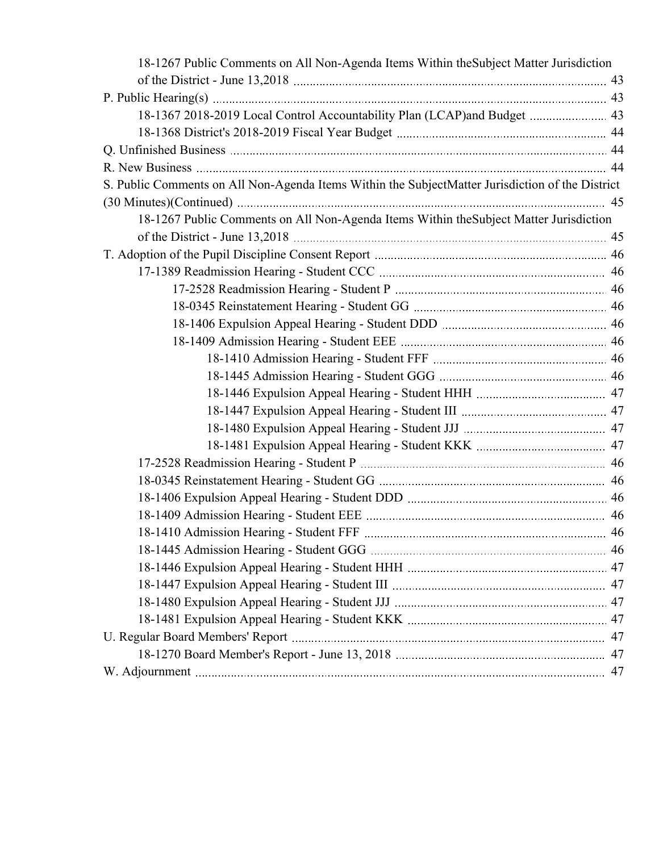| 18-1267 Public Comments on All Non-Agenda Items Within the Subject Matter Jurisdiction           |    |
|--------------------------------------------------------------------------------------------------|----|
|                                                                                                  |    |
|                                                                                                  |    |
| 18-1367 2018-2019 Local Control Accountability Plan (LCAP)and Budget  43                         |    |
|                                                                                                  |    |
|                                                                                                  |    |
|                                                                                                  |    |
| S. Public Comments on All Non-Agenda Items Within the SubjectMatter Jurisdiction of the District |    |
|                                                                                                  |    |
| 18-1267 Public Comments on All Non-Agenda Items Within the Subject Matter Jurisdiction           |    |
|                                                                                                  |    |
|                                                                                                  |    |
|                                                                                                  |    |
|                                                                                                  |    |
|                                                                                                  |    |
|                                                                                                  |    |
|                                                                                                  |    |
|                                                                                                  |    |
|                                                                                                  |    |
|                                                                                                  |    |
|                                                                                                  |    |
|                                                                                                  |    |
|                                                                                                  |    |
|                                                                                                  |    |
|                                                                                                  |    |
|                                                                                                  |    |
|                                                                                                  |    |
| 18-1410 Admission Hearing - Student FFF                                                          | 46 |
|                                                                                                  |    |
|                                                                                                  |    |
|                                                                                                  |    |
|                                                                                                  |    |
|                                                                                                  |    |
|                                                                                                  |    |
|                                                                                                  |    |
|                                                                                                  |    |
|                                                                                                  |    |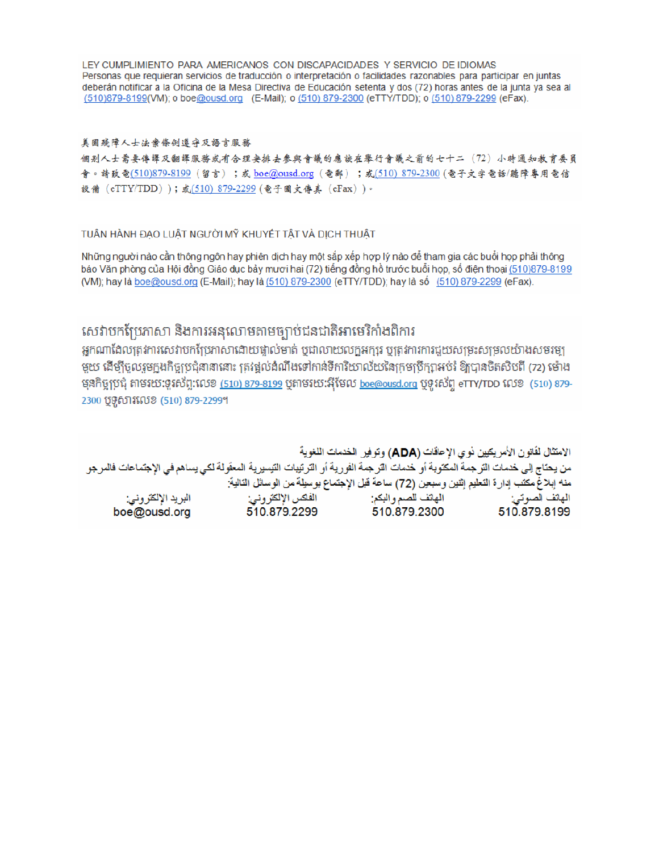LEY CUMPLIMIENTO PARA AMERICANOS CON DISCAPACIDADES Y SERVICIO DE IDIOMAS Personas que requieran servicios de traducción o interpretación o facilidades razonables para participar en juntas deberán notificar a la Oficina de la Mesa Directiva de Educación setenta y dos (72) horas antes de la junta ya sea al (510)879-8199(VM); o boe@ousd.org (E-Mail); o (510) 879-2300 (eTTY/TDD); o (510) 879-2299 (eFax).

#### 美国残障人士法案條例遵守及語言服務

個别人士需要傳譯及翻譯服務或有合理安排去參與會議的應該在舉行會議之前的七十二(72)小時通知教育委員 會。請致電(510)879-8199(留言);或 boe@ousd.org (電郵) ;或(510) 879-2300 (電子文字電話/聽障專用電信 設備 (eTTY/TDD));或(510) 879-2299 (電子圖文傳真 (eFax))。

#### TUẦN HÀNH ĐẠO LUẬT NGƯỜI MỸ KHUYẾT TẤT VÀ DỊCH THUẬT

Những người nào cần thông ngôn hay phiên dịch hay một sắp xếp hợp lý nào để tham gia các buổi họp phải thông báo Văn phòng của Hội đồng Giáo dục bảy mươi hai (72) tiếng đồng hồ trước buổi họp, số điện thoại (510)879-8199 (VM); hay là boe@ousd.org (E-Mail); hay là (510) 879-2300 (eTTY/TDD); hay là số (510) 879-2299 (eFax).

## សេវាបកប្រែភាសា និងការអនុលោមតាមច្បាប់ជនជាតិអាមេរិកាំងពិការ

អកណាដែលត្រូវការសេវាបកប្រែភាសាដោយផ្ទាល់មាត់ ឬជាលាយលក្ខអក្សរ ឬត្រូវការការជួយសម្រះសម្រលយ៉ាងសមរម្យ មួយ ដើម្បីចូលរួមក្នុងកិច្ចប្រជុំនានានោះ ត្រវង្គល់ដំណឹងទៅកាន់ទីការិយាល័យនៃក្រមប្រឹក្សាអប់រំ ឱ្យបានចិតសិបពី (72) ម៉ោង មុនកិច្ចប្រជុំ តាមរយៈទូរស័ព្ទ:លេខ <u>(510) 879-8199</u> បុតាមរយៈអ៊ីមែល <u>boe@ousd.org</u> បុទូរស័ព្ទ eTTY/TDD លេខ (510) 879-2300 ប៊ូទូសារលេខ (510) 879-2299។

الامتثال لقانون الأمريكيين نو ي الإعاقات (ADA) وتوفير الخدمات اللغوية من يحتاج إلى خدمات الترجمة المكتوبة أو خدمات الترجمة الفورية أو الترتيبات التيسيرية المعفّولة لكي يساهم في الإجتماعات فالمرجو منه إبلاغ مكتب إدارة التعليم إثنين وسبعين (72) ساعة قبل الإجتماع بوسيلة من الوسائل التالية: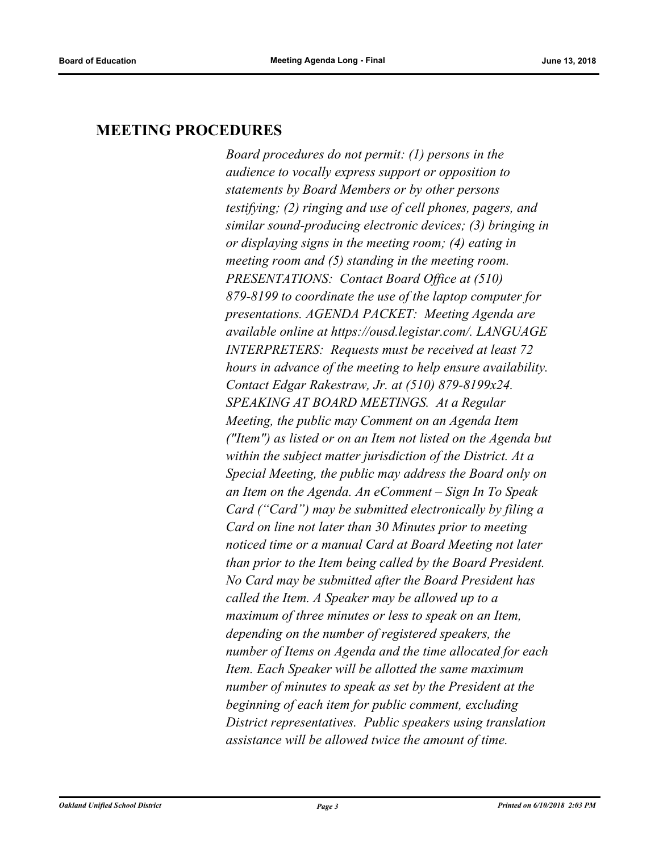## **MEETING PROCEDURES**

*Board procedures do not permit: (1) persons in the audience to vocally express support or opposition to statements by Board Members or by other persons testifying; (2) ringing and use of cell phones, pagers, and similar sound-producing electronic devices; (3) bringing in or displaying signs in the meeting room; (4) eating in meeting room and (5) standing in the meeting room. PRESENTATIONS: Contact Board Office at (510) 879-8199 to coordinate the use of the laptop computer for presentations. AGENDA PACKET: Meeting Agenda are available online at https://ousd.legistar.com/. LANGUAGE INTERPRETERS: Requests must be received at least 72 hours in advance of the meeting to help ensure availability. Contact Edgar Rakestraw, Jr. at (510) 879-8199x24. SPEAKING AT BOARD MEETINGS. At a Regular Meeting, the public may Comment on an Agenda Item ("Item") as listed or on an Item not listed on the Agenda but within the subject matter jurisdiction of the District. At a Special Meeting, the public may address the Board only on an Item on the Agenda. An eComment – Sign In To Speak Card ("Card") may be submitted electronically by filing a Card on line not later than 30 Minutes prior to meeting noticed time or a manual Card at Board Meeting not later than prior to the Item being called by the Board President. No Card may be submitted after the Board President has called the Item. A Speaker may be allowed up to a maximum of three minutes or less to speak on an Item, depending on the number of registered speakers, the number of Items on Agenda and the time allocated for each Item. Each Speaker will be allotted the same maximum number of minutes to speak as set by the President at the beginning of each item for public comment, excluding District representatives. Public speakers using translation assistance will be allowed twice the amount of time.*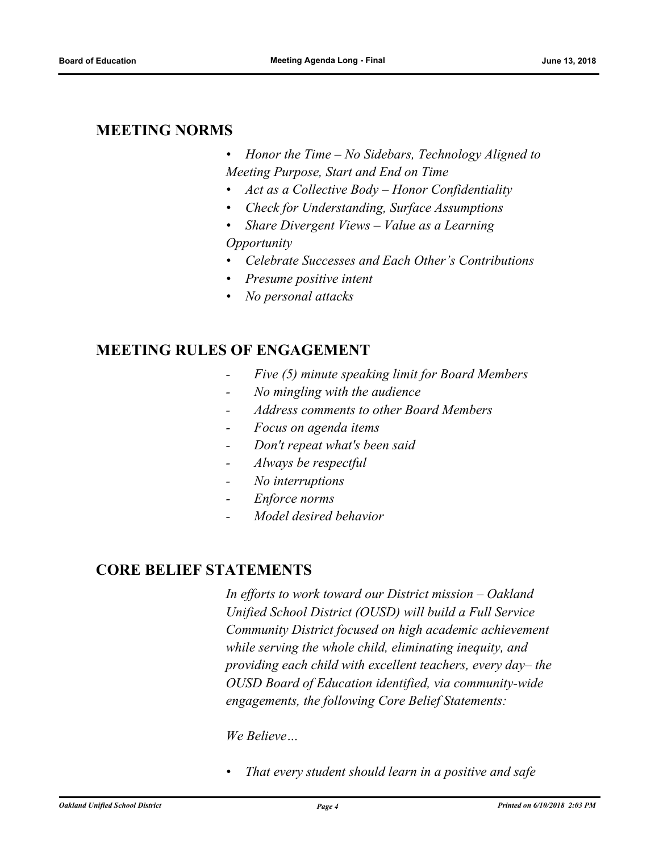## **MEETING NORMS**

- *• Honor the Time No Sidebars, Technology Aligned to Meeting Purpose, Start and End on Time*
- *• Act as a Collective Body Honor Confidentiality*
- *• Check for Understanding, Surface Assumptions*
- *• Share Divergent Views Value as a Learning Opportunity*
- *• Celebrate Successes and Each Other's Contributions*
- *• Presume positive intent*
- *• No personal attacks*

## **MEETING RULES OF ENGAGEMENT**

- *Five (5) minute speaking limit for Board Members*
- *No mingling with the audience*
- *Address comments to other Board Members*
- *Focus on agenda items*
- *Don't repeat what's been said*
- *Always be respectful*
- *No interruptions*
- *Enforce norms*
- *Model desired behavior*

## **CORE BELIEF STATEMENTS**

*In efforts to work toward our District mission – Oakland Unified School District (OUSD) will build a Full Service Community District focused on high academic achievement while serving the whole child, eliminating inequity, and providing each child with excellent teachers, every day– the OUSD Board of Education identified, via community-wide engagements, the following Core Belief Statements:* 

#### *We Believe…*

*• That every student should learn in a positive and safe*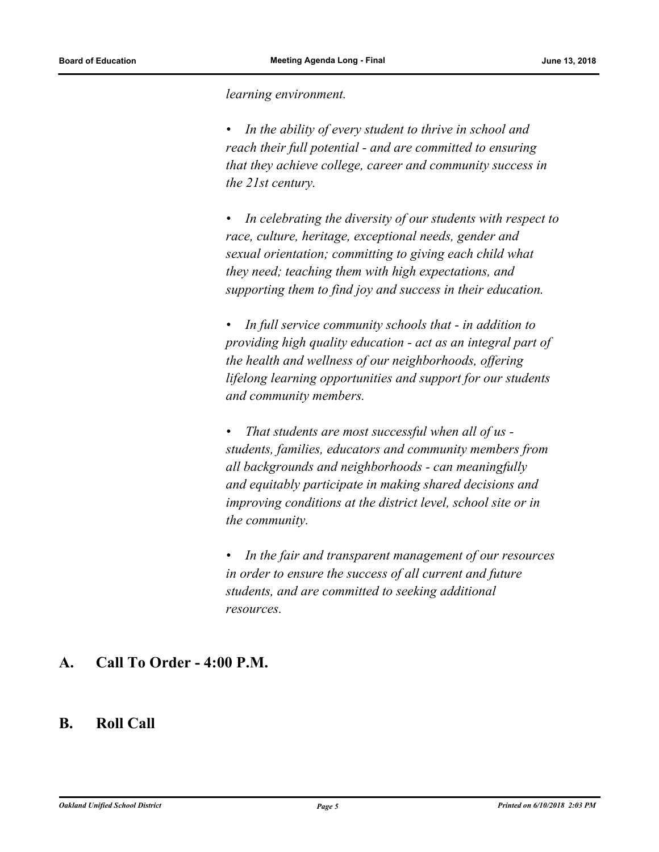*learning environment.*

*• In the ability of every student to thrive in school and reach their full potential - and are committed to ensuring that they achieve college, career and community success in the 21st century.* 

*• In celebrating the diversity of our students with respect to race, culture, heritage, exceptional needs, gender and sexual orientation; committing to giving each child what they need; teaching them with high expectations, and supporting them to find joy and success in their education.* 

*• In full service community schools that - in addition to providing high quality education - act as an integral part of the health and wellness of our neighborhoods, offering lifelong learning opportunities and support for our students and community members.*

*• That students are most successful when all of us students, families, educators and community members from all backgrounds and neighborhoods - can meaningfully and equitably participate in making shared decisions and improving conditions at the district level, school site or in the community.*

*• In the fair and transparent management of our resources in order to ensure the success of all current and future students, and are committed to seeking additional resources.*

## **A. Call To Order - 4:00 P.M.**

## **B. Roll Call**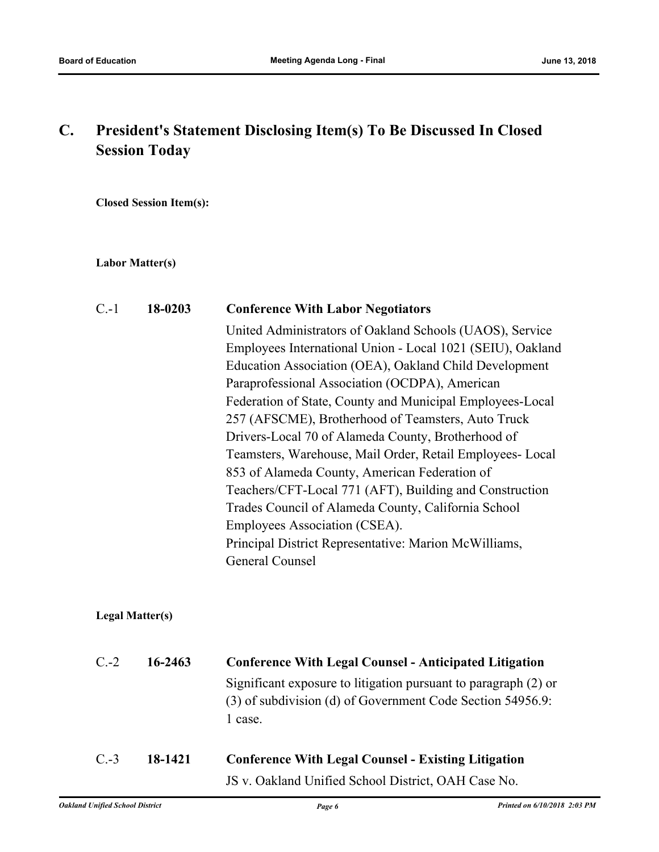## **C. President's Statement Disclosing Item(s) To Be Discussed In Closed Session Today**

**Closed Session Item(s):**

#### **Labor Matter(s)**

| $C - 1$ | 18-0203                | <b>Conference With Labor Negotiators</b>                                                                                                                                                                                                                                                                                                                                                                                                                                                                                                                                                                                                                                                                                                                       |
|---------|------------------------|----------------------------------------------------------------------------------------------------------------------------------------------------------------------------------------------------------------------------------------------------------------------------------------------------------------------------------------------------------------------------------------------------------------------------------------------------------------------------------------------------------------------------------------------------------------------------------------------------------------------------------------------------------------------------------------------------------------------------------------------------------------|
|         |                        | United Administrators of Oakland Schools (UAOS), Service<br>Employees International Union - Local 1021 (SEIU), Oakland<br>Education Association (OEA), Oakland Child Development<br>Paraprofessional Association (OCDPA), American<br>Federation of State, County and Municipal Employees-Local<br>257 (AFSCME), Brotherhood of Teamsters, Auto Truck<br>Drivers-Local 70 of Alameda County, Brotherhood of<br>Teamsters, Warehouse, Mail Order, Retail Employees-Local<br>853 of Alameda County, American Federation of<br>Teachers/CFT-Local 771 (AFT), Building and Construction<br>Trades Council of Alameda County, California School<br>Employees Association (CSEA).<br>Principal District Representative: Marion McWilliams,<br><b>General Counsel</b> |
|         | <b>Legal Matter(s)</b> |                                                                                                                                                                                                                                                                                                                                                                                                                                                                                                                                                                                                                                                                                                                                                                |
| $C.-2$  | 16-2463                | <b>Conference With Legal Counsel - Anticipated Litigation</b><br>Significant exposure to litigation pursuant to paragraph (2) or<br>(3) of subdivision (d) of Government Code Section 54956.9:<br>1 case.                                                                                                                                                                                                                                                                                                                                                                                                                                                                                                                                                      |
| $C.-3$  | 18-1421                | <b>Conference With Legal Counsel - Existing Litigation</b><br>JS v. Oakland Unified School District, OAH Case No.                                                                                                                                                                                                                                                                                                                                                                                                                                                                                                                                                                                                                                              |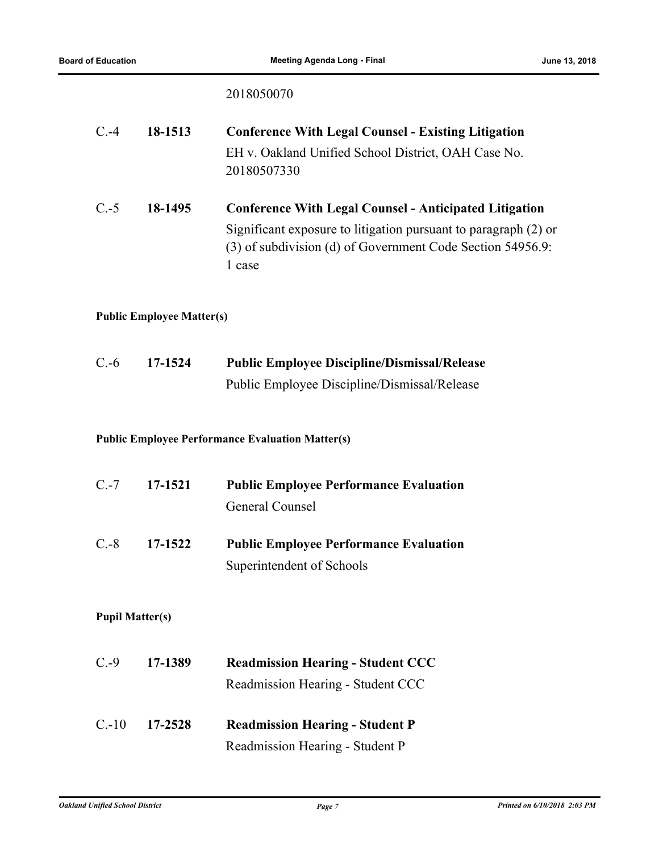## 2018050070

| $C.-4$                                                  | 18-1513                          | <b>Conference With Legal Counsel - Existing Litigation</b><br>EH v. Oakland Unified School District, OAH Case No.<br>20180507330                                                                         |
|---------------------------------------------------------|----------------------------------|----------------------------------------------------------------------------------------------------------------------------------------------------------------------------------------------------------|
| $C.-5$                                                  | 18-1495                          | <b>Conference With Legal Counsel - Anticipated Litigation</b><br>Significant exposure to litigation pursuant to paragraph (2) or<br>(3) of subdivision (d) of Government Code Section 54956.9:<br>1 case |
|                                                         | <b>Public Employee Matter(s)</b> |                                                                                                                                                                                                          |
| $C.-6$                                                  | 17-1524                          | <b>Public Employee Discipline/Dismissal/Release</b><br>Public Employee Discipline/Dismissal/Release                                                                                                      |
| <b>Public Employee Performance Evaluation Matter(s)</b> |                                  |                                                                                                                                                                                                          |
| $C.-7$                                                  | 17-1521                          | <b>Public Employee Performance Evaluation</b><br><b>General Counsel</b>                                                                                                                                  |
| $C.-8$                                                  | 17-1522                          | <b>Public Employee Performance Evaluation</b><br>Superintendent of Schools                                                                                                                               |
| <b>Pupil Matter(s)</b>                                  |                                  |                                                                                                                                                                                                          |
| $C.-9$                                                  | 17-1389                          | <b>Readmission Hearing - Student CCC</b><br>Readmission Hearing - Student CCC                                                                                                                            |
| $C.-10$                                                 | 17-2528                          | <b>Readmission Hearing - Student P</b><br>Readmission Hearing - Student P                                                                                                                                |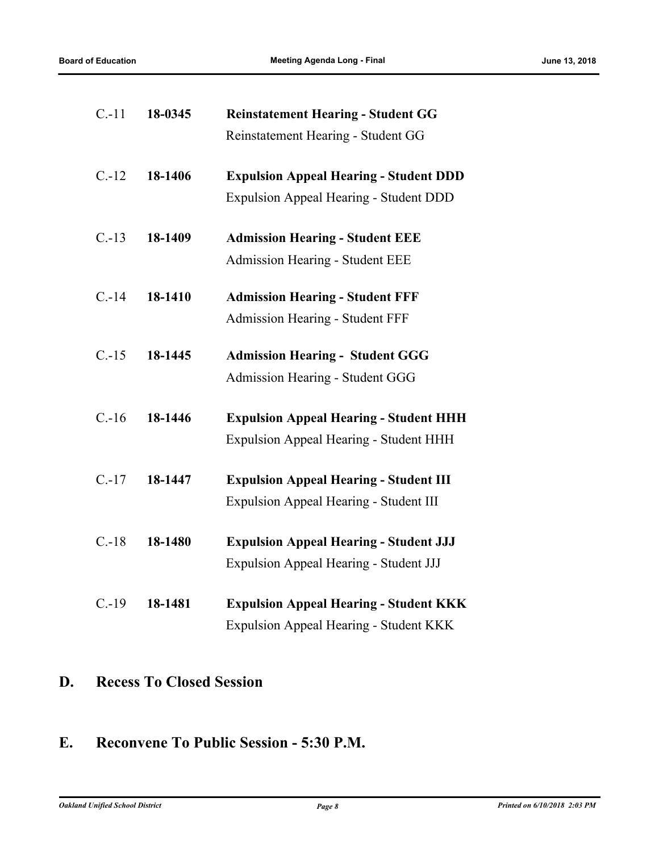| $C-11$   | 18-0345 | <b>Reinstatement Hearing - Student GG</b>     |
|----------|---------|-----------------------------------------------|
|          |         | Reinstatement Hearing - Student GG            |
| $C.-12$  | 18-1406 | <b>Expulsion Appeal Hearing - Student DDD</b> |
|          |         | <b>Expulsion Appeal Hearing - Student DDD</b> |
| $C.-13$  | 18-1409 | <b>Admission Hearing - Student EEE</b>        |
|          |         | <b>Admission Hearing - Student EEE</b>        |
| $C. -14$ | 18-1410 | <b>Admission Hearing - Student FFF</b>        |
|          |         | <b>Admission Hearing - Student FFF</b>        |
| $C.-15$  | 18-1445 | <b>Admission Hearing - Student GGG</b>        |
|          |         | Admission Hearing - Student GGG               |
| $C.-16$  | 18-1446 | <b>Expulsion Appeal Hearing - Student HHH</b> |
|          |         | <b>Expulsion Appeal Hearing - Student HHH</b> |
| $C. -17$ | 18-1447 | <b>Expulsion Appeal Hearing - Student III</b> |
|          |         | <b>Expulsion Appeal Hearing - Student III</b> |
| $C.-18$  | 18-1480 | <b>Expulsion Appeal Hearing - Student JJJ</b> |
|          |         | <b>Expulsion Appeal Hearing - Student JJJ</b> |
| $C.-19$  | 18-1481 | <b>Expulsion Appeal Hearing - Student KKK</b> |
|          |         | Expulsion Appeal Hearing - Student KKK        |

## **D. Recess To Closed Session**

## **E. Reconvene To Public Session - 5:30 P.M.**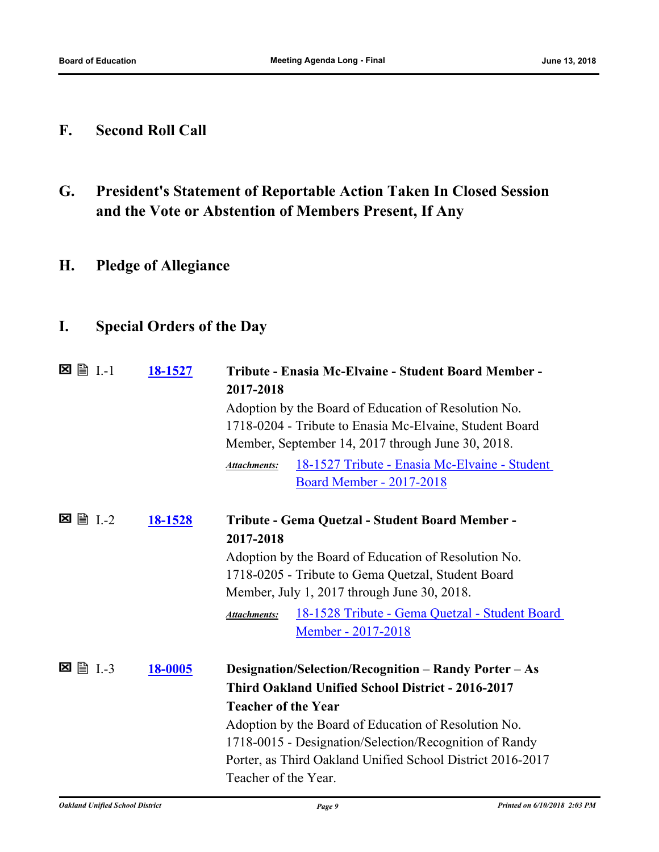## **F. Second Roll Call**

- **G. President's Statement of Reportable Action Taken In Closed Session and the Vote or Abstention of Members Present, If Any**
- **H. Pledge of Allegiance**

## **I. Special Orders of the Day**

|                    | 18-1527        | Tribute - Enasia Mc-Elvaine - Student Board Member -<br>2017-2018     |
|--------------------|----------------|-----------------------------------------------------------------------|
|                    |                | Adoption by the Board of Education of Resolution No.                  |
|                    |                | 1718-0204 - Tribute to Enasia Mc-Elvaine, Student Board               |
|                    |                | Member, September 14, 2017 through June 30, 2018.                     |
|                    |                | 18-1527 Tribute - Enasia Mc-Elvaine - Student<br>Attachments:         |
|                    |                | <b>Board Member - 2017-2018</b>                                       |
| <b>■ I.-2</b><br>⊠ | <u>18-1528</u> | Tribute - Gema Quetzal - Student Board Member -                       |
|                    |                | 2017-2018                                                             |
|                    |                | Adoption by the Board of Education of Resolution No.                  |
|                    |                | 1718-0205 - Tribute to Gema Quetzal, Student Board                    |
|                    |                | Member, July 1, 2017 through June 30, 2018.                           |
|                    |                | 18-1528 Tribute - Gema Quetzal - Student Board<br><b>Attachments:</b> |
|                    |                | Member - 2017-2018                                                    |
| <b>■ I.-3</b><br>⊠ | <u>18-0005</u> |                                                                       |
|                    |                | Designation/Selection/Recognition - Randy Porter - As                 |
|                    |                | Third Oakland Unified School District - 2016-2017                     |
|                    |                | <b>Teacher of the Year</b>                                            |
|                    |                | Adoption by the Board of Education of Resolution No.                  |
|                    |                | 1718-0015 - Designation/Selection/Recognition of Randy                |
|                    |                | Porter, as Third Oakland Unified School District 2016-2017            |
|                    |                | Teacher of the Year.                                                  |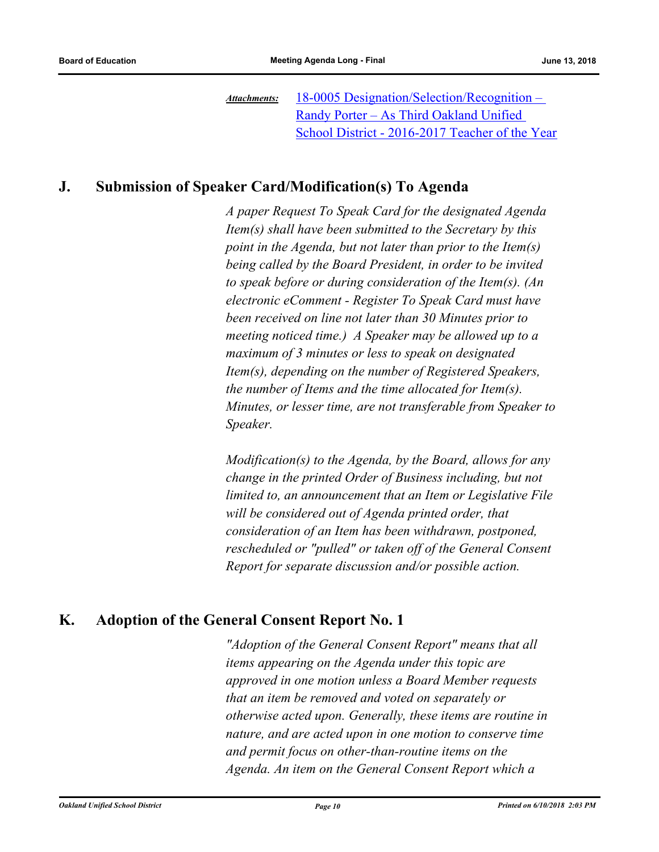18-0005 Designation/Selection/Recognition – Randy Porter – As Third Oakland Unified [School District - 2016-2017 Teacher of the Year](http://ousd.legistar.com/gateway.aspx?M=F&ID=87172.pdf) *Attachments:*

## **J. Submission of Speaker Card/Modification(s) To Agenda**

*A paper Request To Speak Card for the designated Agenda Item(s) shall have been submitted to the Secretary by this point in the Agenda, but not later than prior to the Item(s) being called by the Board President, in order to be invited to speak before or during consideration of the Item(s). (An electronic eComment - Register To Speak Card must have been received on line not later than 30 Minutes prior to meeting noticed time.) A Speaker may be allowed up to a maximum of 3 minutes or less to speak on designated Item(s), depending on the number of Registered Speakers, the number of Items and the time allocated for Item(s). Minutes, or lesser time, are not transferable from Speaker to Speaker.* 

*Modification(s) to the Agenda, by the Board, allows for any change in the printed Order of Business including, but not limited to, an announcement that an Item or Legislative File will be considered out of Agenda printed order, that consideration of an Item has been withdrawn, postponed, rescheduled or "pulled" or taken off of the General Consent Report for separate discussion and/or possible action.*

## **K. Adoption of the General Consent Report No. 1**

*"Adoption of the General Consent Report" means that all items appearing on the Agenda under this topic are approved in one motion unless a Board Member requests that an item be removed and voted on separately or otherwise acted upon. Generally, these items are routine in nature, and are acted upon in one motion to conserve time and permit focus on other‑than‑routine items on the Agenda. An item on the General Consent Report which a*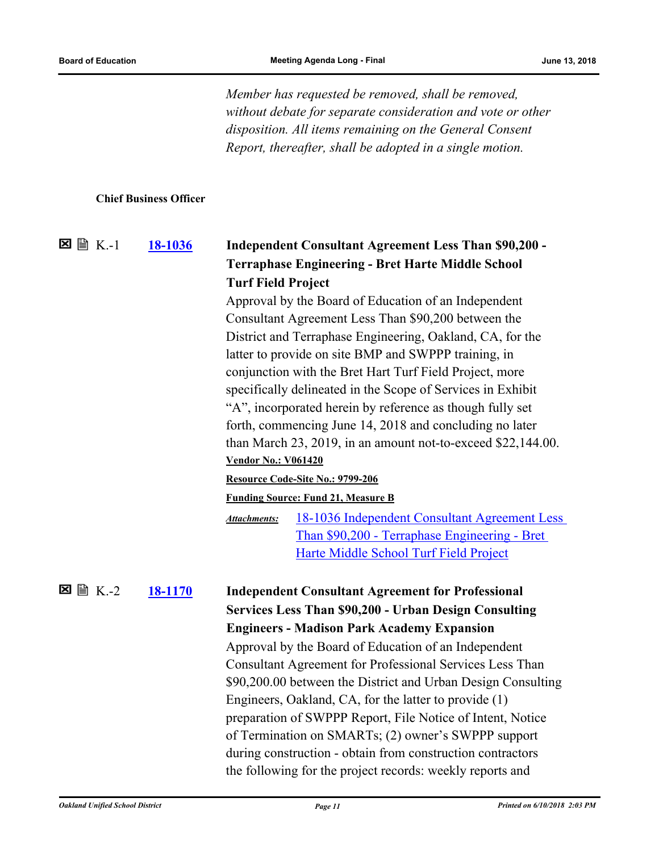*Member has requested be removed, shall be removed, without debate for separate consideration and vote or other disposition. All items remaining on the General Consent Report, thereafter, shall be adopted in a single motion.*

#### **Chief Business Officer**

## **[18-1036](http://ousd.legistar.com/gateway.aspx?m=l&id=/matter.aspx?key=43216) Independent Consultant Agreement Less Than \$90,200 - Terraphase Engineering - Bret Harte Middle School Turf Field Project** K.-1 Approval by the Board of Education of an Independent

Consultant Agreement Less Than \$90,200 between the District and Terraphase Engineering, Oakland, CA, for the latter to provide on site BMP and SWPPP training, in conjunction with the Bret Hart Turf Field Project, more specifically delineated in the Scope of Services in Exhibit "A", incorporated herein by reference as though fully set forth, commencing June 14, 2018 and concluding no later than March 23, 2019, in an amount not-to-exceed \$22,144.00. **Vendor No.: V061420**

#### **Resource Code-Site No.: 9799-206**

**Funding Source: Fund 21, Measure B**

[18-1036 Independent Consultant Agreement Less](http://ousd.legistar.com/gateway.aspx?M=F&ID=88716.pdf)  Than \$90,200 - Terraphase Engineering - Bret Harte Middle School Turf Field Project *Attachments:*

**[18-1170](http://ousd.legistar.com/gateway.aspx?m=l&id=/matter.aspx?key=43350) Independent Consultant Agreement for Professional Services Less Than \$90,200 - Urban Design Consulting Engineers - Madison Park Academy Expansion**  $\Sigma \cong K-2$ Approval by the Board of Education of an Independent Consultant Agreement for Professional Services Less Than \$90,200.00 between the District and Urban Design Consulting Engineers, Oakland, CA, for the latter to provide (1) preparation of SWPPP Report, File Notice of Intent, Notice of Termination on SMARTs; (2) owner's SWPPP support during construction - obtain from construction contractors the following for the project records: weekly reports and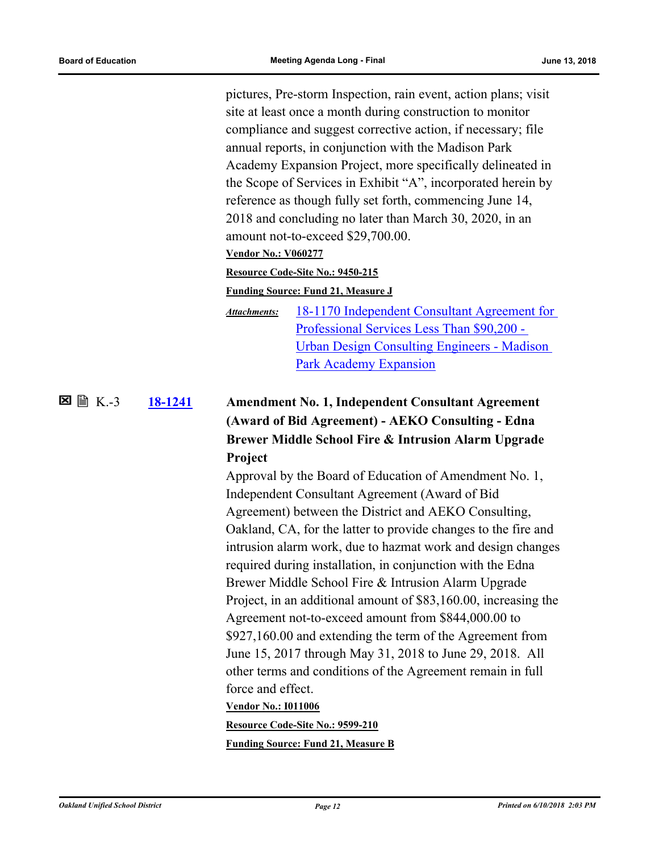pictures, Pre-storm Inspection, rain event, action plans; visit site at least once a month during construction to monitor compliance and suggest corrective action, if necessary; file annual reports, in conjunction with the Madison Park Academy Expansion Project, more specifically delineated in the Scope of Services in Exhibit "A", incorporated herein by reference as though fully set forth, commencing June 14, 2018 and concluding no later than March 30, 2020, in an amount not-to-exceed \$29,700.00.

**Vendor No.: V060277**

#### **Resource Code-Site No.: 9450-215**

#### **Funding Source: Fund 21, Measure J**

[18-1170 Independent Consultant Agreement for](http://ousd.legistar.com/gateway.aspx?M=F&ID=88717.pdf)  Professional Services Less Than \$90,200 - Urban Design Consulting Engineers - Madison Park Academy Expansion *Attachments:*

### **[18-1241](http://ousd.legistar.com/gateway.aspx?m=l&id=/matter.aspx?key=43421) Amendment No. 1, Independent Consultant Agreement (Award of Bid Agreement) - AEKO Consulting - Edna Brewer Middle School Fire & Intrusion Alarm Upgrade Project 区** ■ K.-3

Approval by the Board of Education of Amendment No. 1, Independent Consultant Agreement (Award of Bid Agreement) between the District and AEKO Consulting, Oakland, CA, for the latter to provide changes to the fire and intrusion alarm work, due to hazmat work and design changes required during installation, in conjunction with the Edna Brewer Middle School Fire & Intrusion Alarm Upgrade Project, in an additional amount of \$83,160.00, increasing the Agreement not-to-exceed amount from \$844,000.00 to \$927,160.00 and extending the term of the Agreement from June 15, 2017 through May 31, 2018 to June 29, 2018. All other terms and conditions of the Agreement remain in full force and effect. **Vendor No.: I011006**

**Resource Code-Site No.: 9599-210**

**Funding Source: Fund 21, Measure B**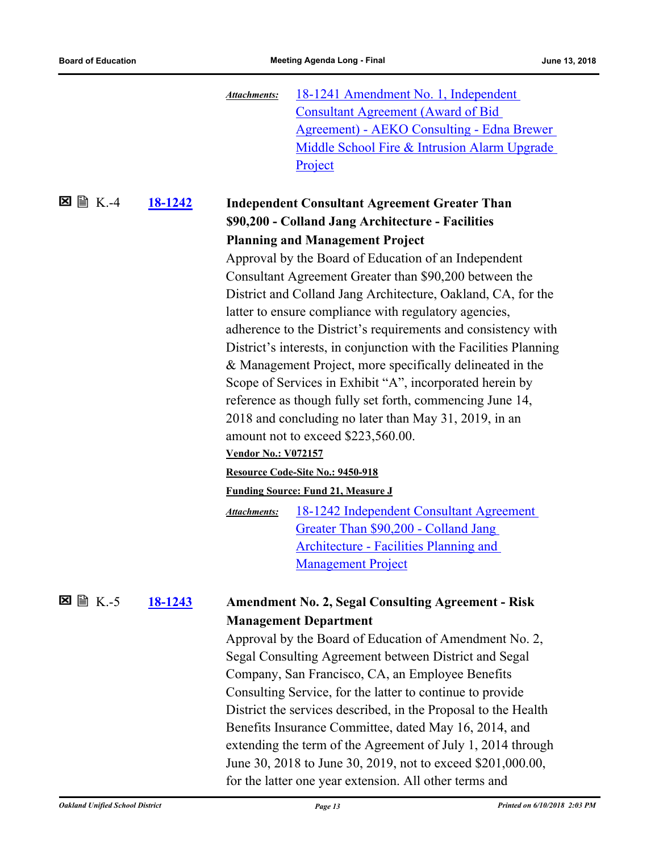| <b>Consultant Agreement (Award of Bid</b><br><b>Agreement) - AEKO Consulting - Edna Brewer</b><br>Middle School Fire & Intrusion Alarm Upgrade<br>Project<br>$\mathbb{B}$ K.-4<br>⊠<br>18-1242<br><b>Independent Consultant Agreement Greater Than</b><br>\$90,200 - Colland Jang Architecture - Facilities<br><b>Planning and Management Project</b><br>Approval by the Board of Education of an Independent<br>Consultant Agreement Greater than \$90,200 between the<br>District and Colland Jang Architecture, Oakland, CA, for the<br>latter to ensure compliance with regulatory agencies,<br>adherence to the District's requirements and consistency with<br>District's interests, in conjunction with the Facilities Planning<br>& Management Project, more specifically delineated in the<br>Scope of Services in Exhibit "A", incorporated herein by<br>reference as though fully set forth, commencing June 14,<br>2018 and concluding no later than May 31, 2019, in an<br>amount not to exceed \$223,560.00.<br><b>Vendor No.: V072157</b><br>Resource Code-Site No.: 9450-918<br><b>Funding Source: Fund 21, Measure J</b><br><u>18-1242 Independent Consultant Agreement</u><br><b>Attachments:</b><br>Greater Than \$90,200 - Colland Jang<br><b>Architecture - Facilities Planning and</b> |
|--------------------------------------------------------------------------------------------------------------------------------------------------------------------------------------------------------------------------------------------------------------------------------------------------------------------------------------------------------------------------------------------------------------------------------------------------------------------------------------------------------------------------------------------------------------------------------------------------------------------------------------------------------------------------------------------------------------------------------------------------------------------------------------------------------------------------------------------------------------------------------------------------------------------------------------------------------------------------------------------------------------------------------------------------------------------------------------------------------------------------------------------------------------------------------------------------------------------------------------------------------------------------------------------------------------|
|                                                                                                                                                                                                                                                                                                                                                                                                                                                                                                                                                                                                                                                                                                                                                                                                                                                                                                                                                                                                                                                                                                                                                                                                                                                                                                              |
|                                                                                                                                                                                                                                                                                                                                                                                                                                                                                                                                                                                                                                                                                                                                                                                                                                                                                                                                                                                                                                                                                                                                                                                                                                                                                                              |
|                                                                                                                                                                                                                                                                                                                                                                                                                                                                                                                                                                                                                                                                                                                                                                                                                                                                                                                                                                                                                                                                                                                                                                                                                                                                                                              |
|                                                                                                                                                                                                                                                                                                                                                                                                                                                                                                                                                                                                                                                                                                                                                                                                                                                                                                                                                                                                                                                                                                                                                                                                                                                                                                              |
|                                                                                                                                                                                                                                                                                                                                                                                                                                                                                                                                                                                                                                                                                                                                                                                                                                                                                                                                                                                                                                                                                                                                                                                                                                                                                                              |
|                                                                                                                                                                                                                                                                                                                                                                                                                                                                                                                                                                                                                                                                                                                                                                                                                                                                                                                                                                                                                                                                                                                                                                                                                                                                                                              |
|                                                                                                                                                                                                                                                                                                                                                                                                                                                                                                                                                                                                                                                                                                                                                                                                                                                                                                                                                                                                                                                                                                                                                                                                                                                                                                              |
|                                                                                                                                                                                                                                                                                                                                                                                                                                                                                                                                                                                                                                                                                                                                                                                                                                                                                                                                                                                                                                                                                                                                                                                                                                                                                                              |
|                                                                                                                                                                                                                                                                                                                                                                                                                                                                                                                                                                                                                                                                                                                                                                                                                                                                                                                                                                                                                                                                                                                                                                                                                                                                                                              |
|                                                                                                                                                                                                                                                                                                                                                                                                                                                                                                                                                                                                                                                                                                                                                                                                                                                                                                                                                                                                                                                                                                                                                                                                                                                                                                              |
|                                                                                                                                                                                                                                                                                                                                                                                                                                                                                                                                                                                                                                                                                                                                                                                                                                                                                                                                                                                                                                                                                                                                                                                                                                                                                                              |
|                                                                                                                                                                                                                                                                                                                                                                                                                                                                                                                                                                                                                                                                                                                                                                                                                                                                                                                                                                                                                                                                                                                                                                                                                                                                                                              |
|                                                                                                                                                                                                                                                                                                                                                                                                                                                                                                                                                                                                                                                                                                                                                                                                                                                                                                                                                                                                                                                                                                                                                                                                                                                                                                              |
|                                                                                                                                                                                                                                                                                                                                                                                                                                                                                                                                                                                                                                                                                                                                                                                                                                                                                                                                                                                                                                                                                                                                                                                                                                                                                                              |
|                                                                                                                                                                                                                                                                                                                                                                                                                                                                                                                                                                                                                                                                                                                                                                                                                                                                                                                                                                                                                                                                                                                                                                                                                                                                                                              |
|                                                                                                                                                                                                                                                                                                                                                                                                                                                                                                                                                                                                                                                                                                                                                                                                                                                                                                                                                                                                                                                                                                                                                                                                                                                                                                              |
|                                                                                                                                                                                                                                                                                                                                                                                                                                                                                                                                                                                                                                                                                                                                                                                                                                                                                                                                                                                                                                                                                                                                                                                                                                                                                                              |
|                                                                                                                                                                                                                                                                                                                                                                                                                                                                                                                                                                                                                                                                                                                                                                                                                                                                                                                                                                                                                                                                                                                                                                                                                                                                                                              |
|                                                                                                                                                                                                                                                                                                                                                                                                                                                                                                                                                                                                                                                                                                                                                                                                                                                                                                                                                                                                                                                                                                                                                                                                                                                                                                              |
|                                                                                                                                                                                                                                                                                                                                                                                                                                                                                                                                                                                                                                                                                                                                                                                                                                                                                                                                                                                                                                                                                                                                                                                                                                                                                                              |
|                                                                                                                                                                                                                                                                                                                                                                                                                                                                                                                                                                                                                                                                                                                                                                                                                                                                                                                                                                                                                                                                                                                                                                                                                                                                                                              |
|                                                                                                                                                                                                                                                                                                                                                                                                                                                                                                                                                                                                                                                                                                                                                                                                                                                                                                                                                                                                                                                                                                                                                                                                                                                                                                              |
|                                                                                                                                                                                                                                                                                                                                                                                                                                                                                                                                                                                                                                                                                                                                                                                                                                                                                                                                                                                                                                                                                                                                                                                                                                                                                                              |
|                                                                                                                                                                                                                                                                                                                                                                                                                                                                                                                                                                                                                                                                                                                                                                                                                                                                                                                                                                                                                                                                                                                                                                                                                                                                                                              |
| <b>Management Project</b>                                                                                                                                                                                                                                                                                                                                                                                                                                                                                                                                                                                                                                                                                                                                                                                                                                                                                                                                                                                                                                                                                                                                                                                                                                                                                    |
| $\equiv$ K.-5<br>×<br>18-1243<br><b>Amendment No. 2, Segal Consulting Agreement - Risk</b>                                                                                                                                                                                                                                                                                                                                                                                                                                                                                                                                                                                                                                                                                                                                                                                                                                                                                                                                                                                                                                                                                                                                                                                                                   |
| <b>Management Department</b>                                                                                                                                                                                                                                                                                                                                                                                                                                                                                                                                                                                                                                                                                                                                                                                                                                                                                                                                                                                                                                                                                                                                                                                                                                                                                 |
| Approval by the Board of Education of Amendment No. 2,                                                                                                                                                                                                                                                                                                                                                                                                                                                                                                                                                                                                                                                                                                                                                                                                                                                                                                                                                                                                                                                                                                                                                                                                                                                       |
| Segal Consulting Agreement between District and Segal                                                                                                                                                                                                                                                                                                                                                                                                                                                                                                                                                                                                                                                                                                                                                                                                                                                                                                                                                                                                                                                                                                                                                                                                                                                        |
| Company, San Francisco, CA, an Employee Benefits                                                                                                                                                                                                                                                                                                                                                                                                                                                                                                                                                                                                                                                                                                                                                                                                                                                                                                                                                                                                                                                                                                                                                                                                                                                             |
| Consulting Service, for the latter to continue to provide                                                                                                                                                                                                                                                                                                                                                                                                                                                                                                                                                                                                                                                                                                                                                                                                                                                                                                                                                                                                                                                                                                                                                                                                                                                    |
| District the services described, in the Proposal to the Health                                                                                                                                                                                                                                                                                                                                                                                                                                                                                                                                                                                                                                                                                                                                                                                                                                                                                                                                                                                                                                                                                                                                                                                                                                               |
| Benefits Insurance Committee, dated May 16, 2014, and                                                                                                                                                                                                                                                                                                                                                                                                                                                                                                                                                                                                                                                                                                                                                                                                                                                                                                                                                                                                                                                                                                                                                                                                                                                        |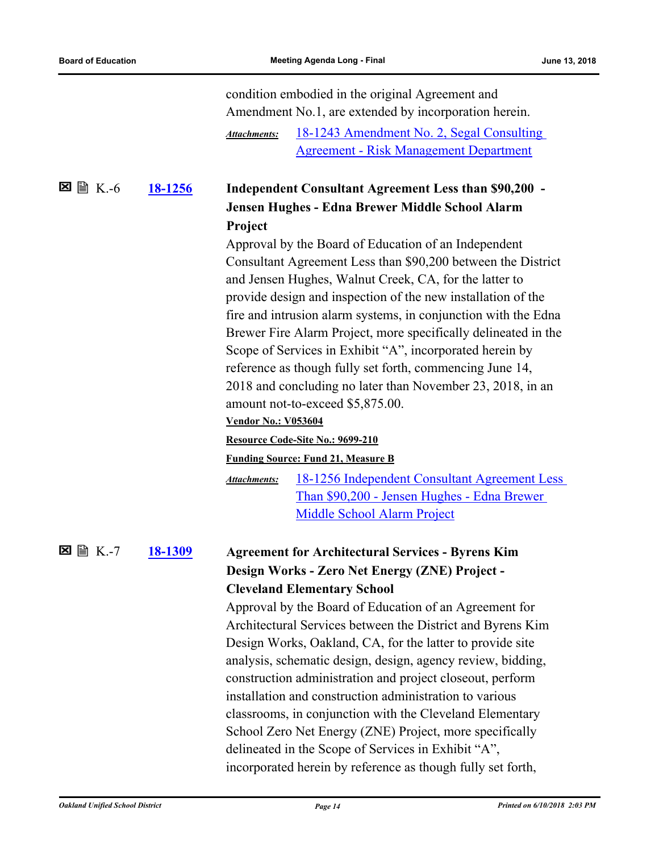|             |                | condition embodied in the original Agreement and                     |
|-------------|----------------|----------------------------------------------------------------------|
|             |                | Amendment No.1, are extended by incorporation herein.                |
|             |                | 18-1243 Amendment No. 2, Segal Consulting<br><b>Attachments:</b>     |
|             |                | <b>Agreement - Risk Management Department</b>                        |
| ⊠<br>圖 K.-6 | <u>18-1256</u> | Independent Consultant Agreement Less than \$90,200 -                |
|             |                | Jensen Hughes - Edna Brewer Middle School Alarm                      |
|             |                | Project                                                              |
|             |                | Approval by the Board of Education of an Independent                 |
|             |                | Consultant Agreement Less than \$90,200 between the District         |
|             |                | and Jensen Hughes, Walnut Creek, CA, for the latter to               |
|             |                | provide design and inspection of the new installation of the         |
|             |                | fire and intrusion alarm systems, in conjunction with the Edna       |
|             |                | Brewer Fire Alarm Project, more specifically delineated in the       |
|             |                | Scope of Services in Exhibit "A", incorporated herein by             |
|             |                | reference as though fully set forth, commencing June 14,             |
|             |                | 2018 and concluding no later than November 23, 2018, in an           |
|             |                | amount not-to-exceed \$5,875.00.                                     |
|             |                | <b>Vendor No.: V053604</b>                                           |
|             |                | Resource Code-Site No.: 9699-210                                     |
|             |                | <b>Funding Source: Fund 21, Measure B</b>                            |
|             |                | 18-1256 Independent Consultant Agreement Less<br><b>Attachments:</b> |
|             |                | Than \$90,200 - Jensen Hughes - Edna Brewer                          |
|             |                | <b>Middle School Alarm Project</b>                                   |
|             | 18-1309        | <b>Agreement for Architectural Services - Byrens Kim</b>             |
|             |                | Design Works - Zero Net Energy (ZNE) Project -                       |
|             |                | <b>Cleveland Elementary School</b>                                   |
|             |                | Approval by the Board of Education of an Agreement for               |
|             |                | Architectural Services between the District and Byrens Kim           |
|             |                | Design Works, Oakland, CA, for the latter to provide site            |
|             |                | analysis, schematic design, design, agency review, bidding,          |
|             |                | construction administration and project closeout, perform            |
|             |                | installation and construction administration to various              |
|             |                | classrooms, in conjunction with the Cleveland Elementary             |
|             |                | School Zero Net Energy (ZNE) Project, more specifically              |
|             |                | delineated in the Scope of Services in Exhibit "A",                  |
|             |                | incorporated herein by reference as though fully set forth,          |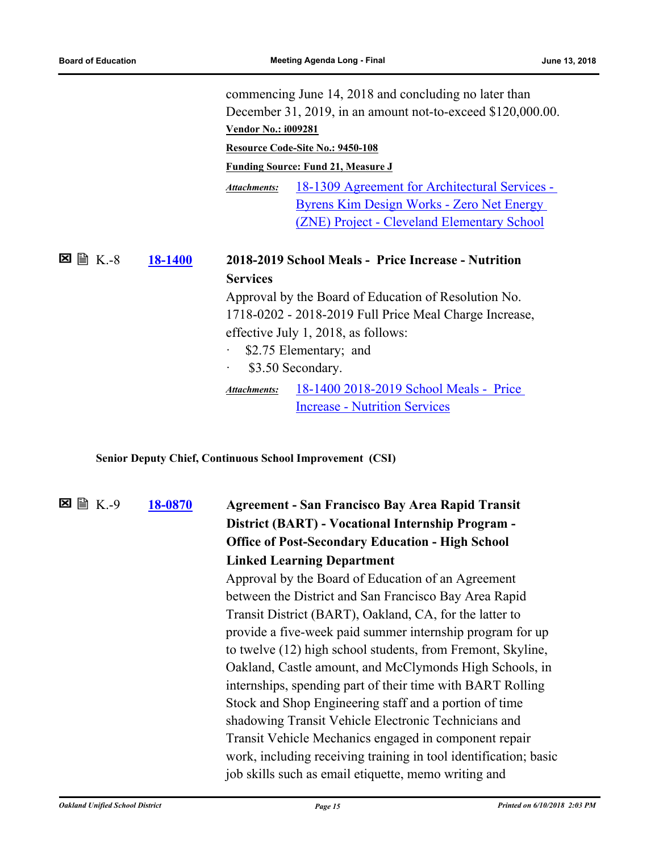commencing June 14, 2018 and concluding no later than December 31, 2019, in an amount not-to-exceed \$120,000.00. **Vendor No.: i009281 Resource Code-Site No.: 9450-108 Funding Source: Fund 21, Measure J** [18-1309 Agreement for Architectural Services -](http://ousd.legistar.com/gateway.aspx?M=F&ID=88722.pdf)  Byrens Kim Design Works - Zero Net Energy (ZNE) Project - Cleveland Elementary School *Attachments:* **[18-1400](http://ousd.legistar.com/gateway.aspx?m=l&id=/matter.aspx?key=43580) 2018-2019 School Meals - Price Increase - Nutrition Services 冈** 图 K.-8 Approval by the Board of Education of Resolution No. 1718-0202 - 2018-2019 Full Price Meal Charge Increase, effective July 1, 2018, as follows: \$2.75 Elementary; and \$3.50 Secondary. [18-1400 2018-2019 School Meals - Price](http://ousd.legistar.com/gateway.aspx?M=F&ID=88949.pdf)  Increase - Nutrition Services *Attachments:*

**Senior Deputy Chief, Continuous School Improvement (CSI)**

**[18-0870](http://ousd.legistar.com/gateway.aspx?m=l&id=/matter.aspx?key=43050) Agreement - San Francisco Bay Area Rapid Transit District (BART) - Vocational Internship Program - Office of Post-Secondary Education - High School Linked Learning Department**  $\Sigma \cong K-9$ Approval by the Board of Education of an Agreement

between the District and San Francisco Bay Area Rapid Transit District (BART), Oakland, CA, for the latter to provide a five-week paid summer internship program for up to twelve (12) high school students, from Fremont, Skyline, Oakland, Castle amount, and McClymonds High Schools, in internships, spending part of their time with BART Rolling Stock and Shop Engineering staff and a portion of time shadowing Transit Vehicle Electronic Technicians and Transit Vehicle Mechanics engaged in component repair work, including receiving training in tool identification; basic job skills such as email etiquette, memo writing and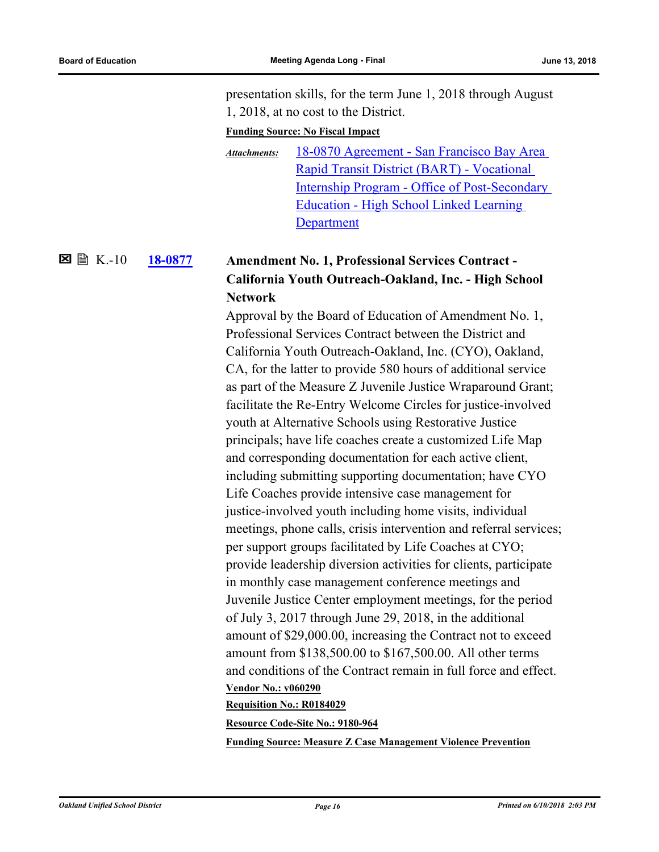presentation skills, for the term June 1, 2018 through August 1, 2018, at no cost to the District.

#### **Funding Source: No Fiscal Impact**

18-0870 Agreement - San Francisco Bay Area Rapid Transit District (BART) - Vocational [Internship Program - Office of Post-Secondary](http://ousd.legistar.com/gateway.aspx?M=F&ID=88820.pdf)  Education - High School Linked Learning Department *Attachments:*

#### **[18-0877](http://ousd.legistar.com/gateway.aspx?m=l&id=/matter.aspx?key=43057) Amendment No. 1, Professional Services Contract - California Youth Outreach-Oakland, Inc. - High School Network**  $\boxtimes$  A K .-10

Approval by the Board of Education of Amendment No. 1, Professional Services Contract between the District and California Youth Outreach-Oakland, Inc. (CYO), Oakland, CA, for the latter to provide 580 hours of additional service as part of the Measure Z Juvenile Justice Wraparound Grant; facilitate the Re-Entry Welcome Circles for justice-involved youth at Alternative Schools using Restorative Justice principals; have life coaches create a customized Life Map and corresponding documentation for each active client, including submitting supporting documentation; have CYO Life Coaches provide intensive case management for justice-involved youth including home visits, individual meetings, phone calls, crisis intervention and referral services; per support groups facilitated by Life Coaches at CYO; provide leadership diversion activities for clients, participate in monthly case management conference meetings and Juvenile Justice Center employment meetings, for the period of July 3, 2017 through June 29, 2018, in the additional amount of \$29,000.00, increasing the Contract not to exceed amount from \$138,500.00 to \$167,500.00. All other terms and conditions of the Contract remain in full force and effect. **Vendor No.: v060290**

#### **Requisition No.: R0184029**

**Resource Code-Site No.: 9180-964**

**Funding Source: Measure Z Case Management Violence Prevention**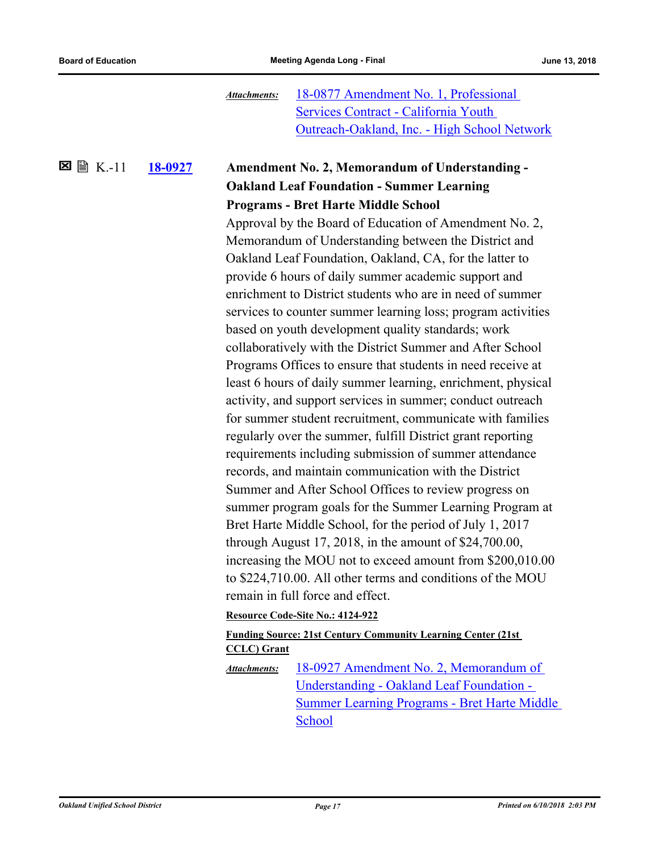18-0877 Amendment No. 1, Professional Services Contract - California Youth [Outreach-Oakland, Inc. - High School Network](http://ousd.legistar.com/gateway.aspx?M=F&ID=88821.pdf) *Attachments:*

#### **[18-0927](http://ousd.legistar.com/gateway.aspx?m=l&id=/matter.aspx?key=43107) Amendment No. 2, Memorandum of Understanding - Oakland Leaf Foundation - Summer Learning Programs - Bret Harte Middle School** K.-11

Approval by the Board of Education of Amendment No. 2, Memorandum of Understanding between the District and Oakland Leaf Foundation, Oakland, CA, for the latter to provide 6 hours of daily summer academic support and enrichment to District students who are in need of summer services to counter summer learning loss; program activities based on youth development quality standards; work collaboratively with the District Summer and After School Programs Offices to ensure that students in need receive at least 6 hours of daily summer learning, enrichment, physical activity, and support services in summer; conduct outreach for summer student recruitment, communicate with families regularly over the summer, fulfill District grant reporting requirements including submission of summer attendance records, and maintain communication with the District Summer and After School Offices to review progress on summer program goals for the Summer Learning Program at Bret Harte Middle School, for the period of July 1, 2017 through August 17, 2018, in the amount of \$24,700.00, increasing the MOU not to exceed amount from \$200,010.00 to \$224,710.00. All other terms and conditions of the MOU remain in full force and effect.

#### **Resource Code-Site No.: 4124-922**

#### **Funding Source: 21st Century Community Learning Center (21st CCLC) Grant**

18-0927 Amendment No. 2, Memorandum of Understanding - Oakland Leaf Foundation - [Summer Learning Programs - Bret Harte Middle](http://ousd.legistar.com/gateway.aspx?M=F&ID=88622.pdf)  School *Attachments:*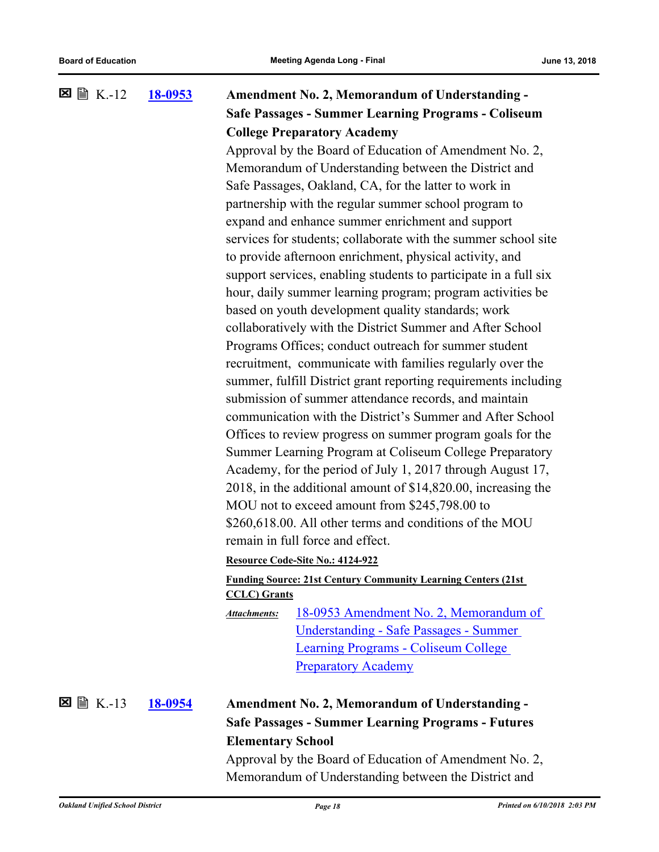#### **[18-0953](http://ousd.legistar.com/gateway.aspx?m=l&id=/matter.aspx?key=43133) Amendment No. 2, Memorandum of Understanding - Safe Passages - Summer Learning Programs - Coliseum College Preparatory Academy**  $\Sigma \cong K - 12$ Approval by the Board of Education of Amendment No. 2,

Memorandum of Understanding between the District and Safe Passages, Oakland, CA, for the latter to work in partnership with the regular summer school program to expand and enhance summer enrichment and support services for students; collaborate with the summer school site to provide afternoon enrichment, physical activity, and support services, enabling students to participate in a full six hour, daily summer learning program; program activities be based on youth development quality standards; work collaboratively with the District Summer and After School Programs Offices; conduct outreach for summer student recruitment, communicate with families regularly over the summer, fulfill District grant reporting requirements including submission of summer attendance records, and maintain communication with the District's Summer and After School Offices to review progress on summer program goals for the Summer Learning Program at Coliseum College Preparatory Academy, for the period of July 1, 2017 through August 17, 2018, in the additional amount of \$14,820.00, increasing the MOU not to exceed amount from \$245,798.00 to \$260,618.00. All other terms and conditions of the MOU remain in full force and effect.

**Resource Code-Site No.: 4124-922**

#### **Funding Source: 21st Century Community Learning Centers (21st CCLC) Grants**

[18-0953 Amendment No. 2, Memorandum of](http://ousd.legistar.com/gateway.aspx?M=F&ID=88943.pdf)  Understanding - Safe Passages - Summer Learning Programs - Coliseum College Preparatory Academy *Attachments:*

K.-13

## **[18-0954](http://ousd.legistar.com/gateway.aspx?m=l&id=/matter.aspx?key=43134) Amendment No. 2, Memorandum of Understanding - Safe Passages - Summer Learning Programs - Futures Elementary School**

Approval by the Board of Education of Amendment No. 2, Memorandum of Understanding between the District and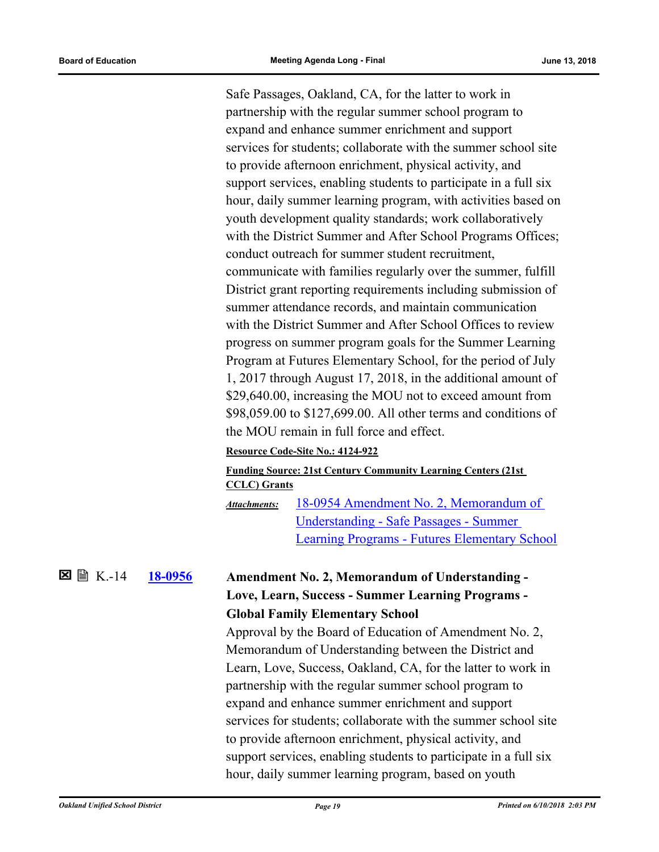Safe Passages, Oakland, CA, for the latter to work in partnership with the regular summer school program to expand and enhance summer enrichment and support services for students; collaborate with the summer school site to provide afternoon enrichment, physical activity, and support services, enabling students to participate in a full six hour, daily summer learning program, with activities based on youth development quality standards; work collaboratively with the District Summer and After School Programs Offices; conduct outreach for summer student recruitment, communicate with families regularly over the summer, fulfill District grant reporting requirements including submission of summer attendance records, and maintain communication with the District Summer and After School Offices to review progress on summer program goals for the Summer Learning Program at Futures Elementary School, for the period of July 1, 2017 through August 17, 2018, in the additional amount of \$29,640.00, increasing the MOU not to exceed amount from \$98,059.00 to \$127,699.00. All other terms and conditions of the MOU remain in full force and effect.

#### **Resource Code-Site No.: 4124-922**

#### **Funding Source: 21st Century Community Learning Centers (21st CCLC) Grants**

18-0954 Amendment No. 2, Memorandum of Understanding - Safe Passages - Summer [Learning Programs - Futures Elementary School](http://ousd.legistar.com/gateway.aspx?M=F&ID=88623.pdf) *Attachments:*

 $\Sigma \cong K - 14$ 

## **[18-0956](http://ousd.legistar.com/gateway.aspx?m=l&id=/matter.aspx?key=43136) Amendment No. 2, Memorandum of Understanding - Love, Learn, Success - Summer Learning Programs - Global Family Elementary School**

Approval by the Board of Education of Amendment No. 2, Memorandum of Understanding between the District and Learn, Love, Success, Oakland, CA, for the latter to work in partnership with the regular summer school program to expand and enhance summer enrichment and support services for students; collaborate with the summer school site to provide afternoon enrichment, physical activity, and support services, enabling students to participate in a full six hour, daily summer learning program, based on youth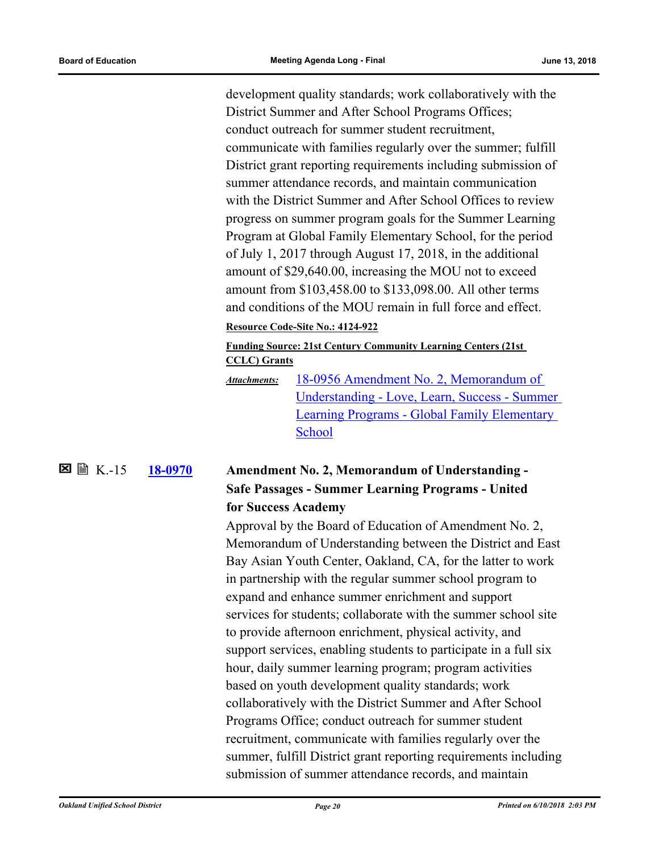development quality standards; work collaboratively with the District Summer and After School Programs Offices; conduct outreach for summer student recruitment, communicate with families regularly over the summer; fulfill District grant reporting requirements including submission of summer attendance records, and maintain communication with the District Summer and After School Offices to review progress on summer program goals for the Summer Learning Program at Global Family Elementary School, for the period of July 1, 2017 through August 17, 2018, in the additional amount of \$29,640.00, increasing the MOU not to exceed amount from \$103,458.00 to \$133,098.00. All other terms and conditions of the MOU remain in full force and effect.

#### **Resource Code-Site No.: 4124-922**

**Funding Source: 21st Century Community Learning Centers (21st CCLC) Grants**

18-0956 Amendment No. 2, Memorandum of [Understanding - Love, Learn, Success - Summer](http://ousd.legistar.com/gateway.aspx?M=F&ID=88624.pdf)  Learning Programs - Global Family Elementary School *Attachments:*

#### **[18-0970](http://ousd.legistar.com/gateway.aspx?m=l&id=/matter.aspx?key=43150) Amendment No. 2, Memorandum of Understanding - Safe Passages - Summer Learning Programs - United for Success Academy 区** 图 K-15

Approval by the Board of Education of Amendment No. 2, Memorandum of Understanding between the District and East Bay Asian Youth Center, Oakland, CA, for the latter to work in partnership with the regular summer school program to expand and enhance summer enrichment and support services for students; collaborate with the summer school site to provide afternoon enrichment, physical activity, and support services, enabling students to participate in a full six hour, daily summer learning program; program activities based on youth development quality standards; work collaboratively with the District Summer and After School Programs Office; conduct outreach for summer student recruitment, communicate with families regularly over the summer, fulfill District grant reporting requirements including submission of summer attendance records, and maintain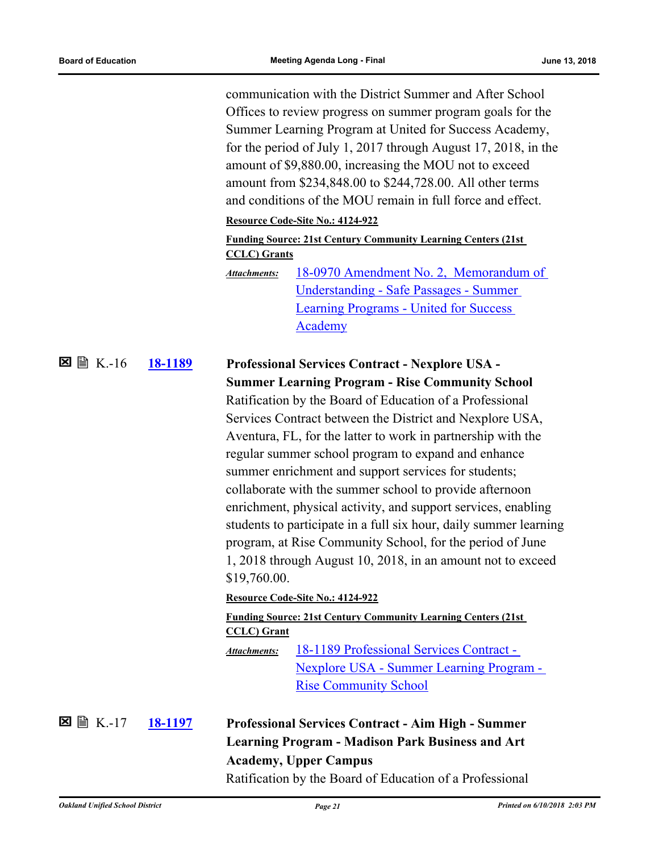communication with the District Summer and After School Offices to review progress on summer program goals for the Summer Learning Program at United for Success Academy, for the period of July 1, 2017 through August 17, 2018, in the amount of \$9,880.00, increasing the MOU not to exceed amount from \$234,848.00 to \$244,728.00. All other terms and conditions of the MOU remain in full force and effect.

### **Resource Code-Site No.: 4124-922**

**Funding Source: 21st Century Community Learning Centers (21st CCLC) Grants**

[18-0970 Amendment No. 2, Memorandum of](http://ousd.legistar.com/gateway.aspx?M=F&ID=88625.pdf)  Understanding - Safe Passages - Summer Learning Programs - United for Success Academy *Attachments:*

#### **[18-1189](http://ousd.legistar.com/gateway.aspx?m=l&id=/matter.aspx?key=43369) Professional Services Contract - Nexplore USA - Summer Learning Program - Rise Community School**  $\Sigma \cong K.-16$

Ratification by the Board of Education of a Professional Services Contract between the District and Nexplore USA, Aventura, FL, for the latter to work in partnership with the regular summer school program to expand and enhance summer enrichment and support services for students; collaborate with the summer school to provide afternoon enrichment, physical activity, and support services, enabling students to participate in a full six hour, daily summer learning program, at Rise Community School, for the period of June 1, 2018 through August 10, 2018, in an amount not to exceed \$19,760.00.

#### **Resource Code-Site No.: 4124-922**

#### **Funding Source: 21st Century Community Learning Centers (21st CCLC) Grant**

18-1189 Professional Services Contract - [Nexplore USA - Summer Learning Program -](http://ousd.legistar.com/gateway.aspx?M=F&ID=88626.pdf)  Rise Community School *Attachments:*

 $\Sigma \cong K-17$ 

## **[18-1197](http://ousd.legistar.com/gateway.aspx?m=l&id=/matter.aspx?key=43377) Professional Services Contract - Aim High - Summer Learning Program - Madison Park Business and Art Academy, Upper Campus**

Ratification by the Board of Education of a Professional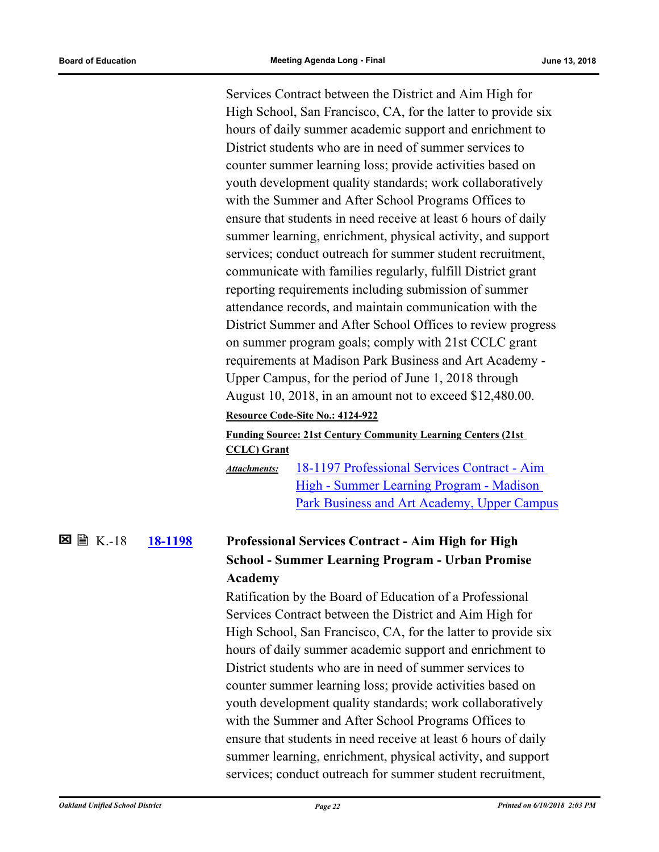Services Contract between the District and Aim High for High School, San Francisco, CA, for the latter to provide six hours of daily summer academic support and enrichment to District students who are in need of summer services to counter summer learning loss; provide activities based on youth development quality standards; work collaboratively with the Summer and After School Programs Offices to ensure that students in need receive at least 6 hours of daily summer learning, enrichment, physical activity, and support services; conduct outreach for summer student recruitment, communicate with families regularly, fulfill District grant reporting requirements including submission of summer attendance records, and maintain communication with the District Summer and After School Offices to review progress on summer program goals; comply with 21st CCLC grant requirements at Madison Park Business and Art Academy - Upper Campus, for the period of June 1, 2018 through August 10, 2018, in an amount not to exceed \$12,480.00.

#### **Resource Code-Site No.: 4124-922**

#### **Funding Source: 21st Century Community Learning Centers (21st CCLC) Grant**

18-1197 Professional Services Contract - Aim High - Summer Learning Program - Madison [Park Business and Art Academy, Upper Campus](http://ousd.legistar.com/gateway.aspx?M=F&ID=88627.pdf) *Attachments:*

#### **[18-1198](http://ousd.legistar.com/gateway.aspx?m=l&id=/matter.aspx?key=43378) Professional Services Contract - Aim High for High School - Summer Learning Program - Urban Promise Academy**  $\Sigma \cong K - 18$

Ratification by the Board of Education of a Professional Services Contract between the District and Aim High for High School, San Francisco, CA, for the latter to provide six hours of daily summer academic support and enrichment to District students who are in need of summer services to counter summer learning loss; provide activities based on youth development quality standards; work collaboratively with the Summer and After School Programs Offices to ensure that students in need receive at least 6 hours of daily summer learning, enrichment, physical activity, and support services; conduct outreach for summer student recruitment,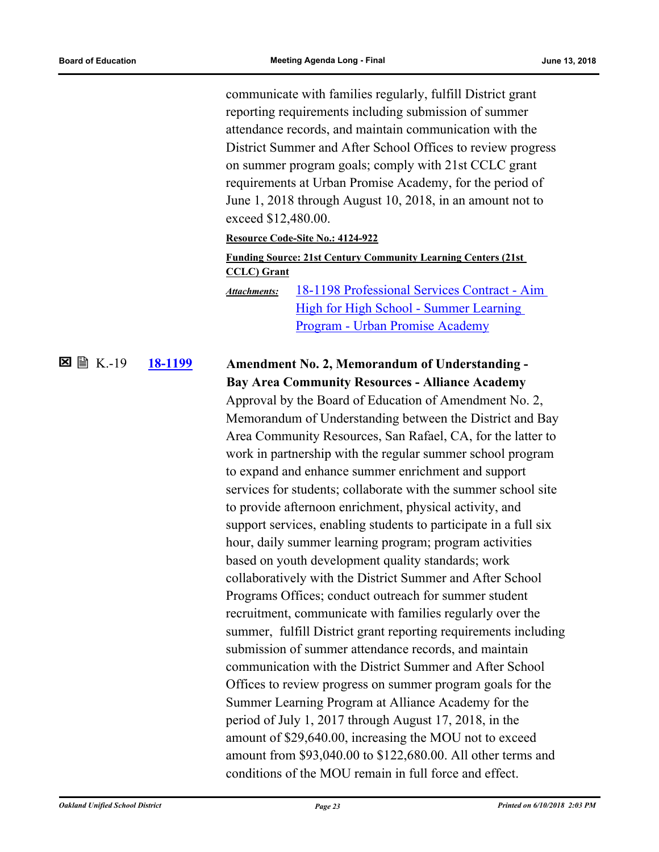communicate with families regularly, fulfill District grant reporting requirements including submission of summer attendance records, and maintain communication with the District Summer and After School Offices to review progress on summer program goals; comply with 21st CCLC grant requirements at Urban Promise Academy, for the period of June 1, 2018 through August 10, 2018, in an amount not to exceed \$12,480.00.

#### **Resource Code-Site No.: 4124-922**

### **Funding Source: 21st Century Community Learning Centers (21st CCLC) Grant**

[18-1198 Professional Services Contract - Aim](http://ousd.legistar.com/gateway.aspx?M=F&ID=88628.pdf)  High for High School - Summer Learning Program - Urban Promise Academy *Attachments:*

#### **[18-1199](http://ousd.legistar.com/gateway.aspx?m=l&id=/matter.aspx?key=43379) Amendment No. 2, Memorandum of Understanding - Bay Area Community Resources - Alliance Academy 図 圖 K.-19**

Approval by the Board of Education of Amendment No. 2, Memorandum of Understanding between the District and Bay Area Community Resources, San Rafael, CA, for the latter to work in partnership with the regular summer school program to expand and enhance summer enrichment and support services for students; collaborate with the summer school site to provide afternoon enrichment, physical activity, and support services, enabling students to participate in a full six hour, daily summer learning program; program activities based on youth development quality standards; work collaboratively with the District Summer and After School Programs Offices; conduct outreach for summer student recruitment, communicate with families regularly over the summer, fulfill District grant reporting requirements including submission of summer attendance records, and maintain communication with the District Summer and After School Offices to review progress on summer program goals for the Summer Learning Program at Alliance Academy for the period of July 1, 2017 through August 17, 2018, in the amount of \$29,640.00, increasing the MOU not to exceed amount from \$93,040.00 to \$122,680.00. All other terms and conditions of the MOU remain in full force and effect.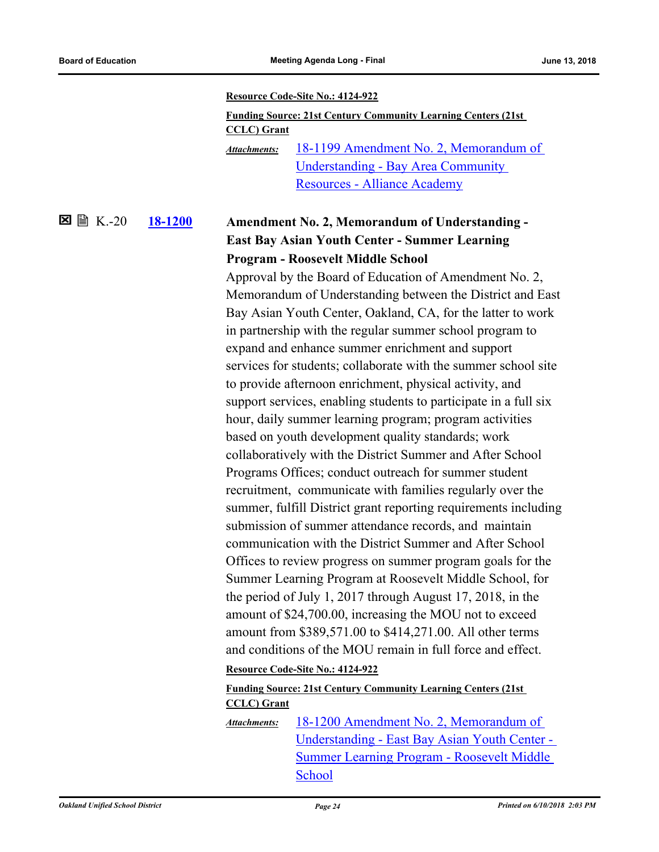#### **Resource Code-Site No.: 4124-922**

| <b>Funding Source: 21st Century Community Learning Centers (21st)</b> |                                        |  |
|-----------------------------------------------------------------------|----------------------------------------|--|
| <b>CCLC</b> ) Grant                                                   |                                        |  |
| Attachments:                                                          | 18-1199 Amendment No. 2, Memorandum of |  |
|                                                                       | Understanding - Bay Area Community     |  |
|                                                                       | <b>Resources - Alliance Academy</b>    |  |

#### **[18-1200](http://ousd.legistar.com/gateway.aspx?m=l&id=/matter.aspx?key=43380) Amendment No. 2, Memorandum of Understanding - East Bay Asian Youth Center - Summer Learning Program - Roosevelt Middle School**  $\Sigma \cong K.-20$

Approval by the Board of Education of Amendment No. 2, Memorandum of Understanding between the District and East Bay Asian Youth Center, Oakland, CA, for the latter to work in partnership with the regular summer school program to expand and enhance summer enrichment and support services for students; collaborate with the summer school site to provide afternoon enrichment, physical activity, and support services, enabling students to participate in a full six hour, daily summer learning program; program activities based on youth development quality standards; work collaboratively with the District Summer and After School Programs Offices; conduct outreach for summer student recruitment, communicate with families regularly over the summer, fulfill District grant reporting requirements including submission of summer attendance records, and maintain communication with the District Summer and After School Offices to review progress on summer program goals for the Summer Learning Program at Roosevelt Middle School, for the period of July 1, 2017 through August 17, 2018, in the amount of \$24,700.00, increasing the MOU not to exceed amount from \$389,571.00 to \$414,271.00. All other terms and conditions of the MOU remain in full force and effect.

#### **Resource Code-Site No.: 4124-922**

### **Funding Source: 21st Century Community Learning Centers (21st CCLC) Grant**

18-1200 Amendment No. 2, Memorandum of [Understanding - East Bay Asian Youth Center -](http://ousd.legistar.com/gateway.aspx?M=F&ID=88630.pdf)  Summer Learning Program - Roosevelt Middle School *Attachments:*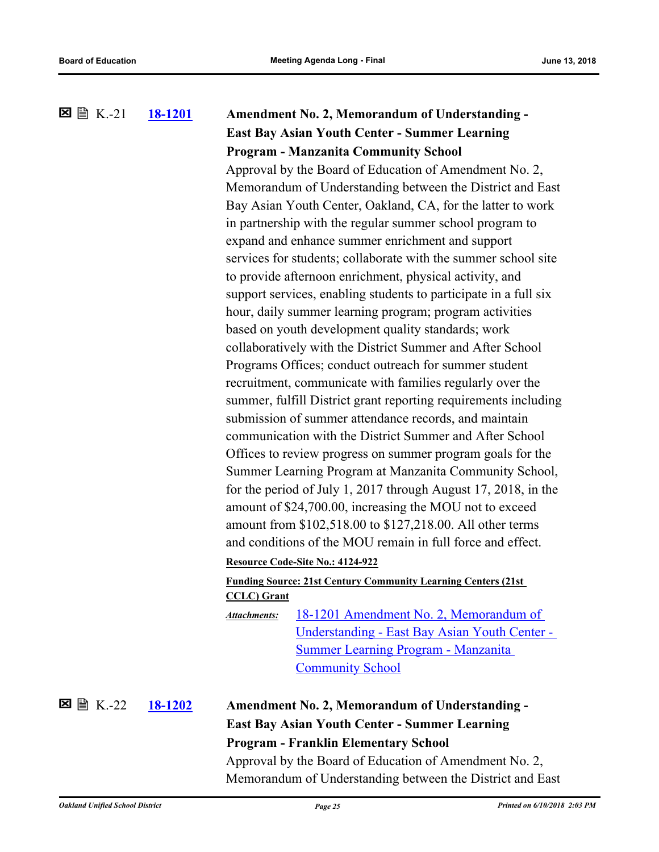## **[18-1201](http://ousd.legistar.com/gateway.aspx?m=l&id=/matter.aspx?key=43381) Amendment No. 2, Memorandum of Understanding - East Bay Asian Youth Center - Summer Learning Program - Manzanita Community School**  $\Sigma \cong K-21$

Approval by the Board of Education of Amendment No. 2, Memorandum of Understanding between the District and East Bay Asian Youth Center, Oakland, CA, for the latter to work in partnership with the regular summer school program to expand and enhance summer enrichment and support services for students; collaborate with the summer school site to provide afternoon enrichment, physical activity, and support services, enabling students to participate in a full six hour, daily summer learning program; program activities based on youth development quality standards; work collaboratively with the District Summer and After School Programs Offices; conduct outreach for summer student recruitment, communicate with families regularly over the summer, fulfill District grant reporting requirements including submission of summer attendance records, and maintain communication with the District Summer and After School Offices to review progress on summer program goals for the Summer Learning Program at Manzanita Community School, for the period of July 1, 2017 through August 17, 2018, in the amount of \$24,700.00, increasing the MOU not to exceed amount from \$102,518.00 to \$127,218.00. All other terms and conditions of the MOU remain in full force and effect. **Resource Code-Site No.: 4124-922**

### **Funding Source: 21st Century Community Learning Centers (21st CCLC) Grant**

18-1201 Amendment No. 2, Memorandum of [Understanding - East Bay Asian Youth Center -](http://ousd.legistar.com/gateway.aspx?M=F&ID=88631.pdf)  Summer Learning Program - Manzanita Community School *Attachments:*

K.-22

## **[18-1202](http://ousd.legistar.com/gateway.aspx?m=l&id=/matter.aspx?key=43382) Amendment No. 2, Memorandum of Understanding - East Bay Asian Youth Center - Summer Learning Program - Franklin Elementary School** Approval by the Board of Education of Amendment No. 2,

Memorandum of Understanding between the District and East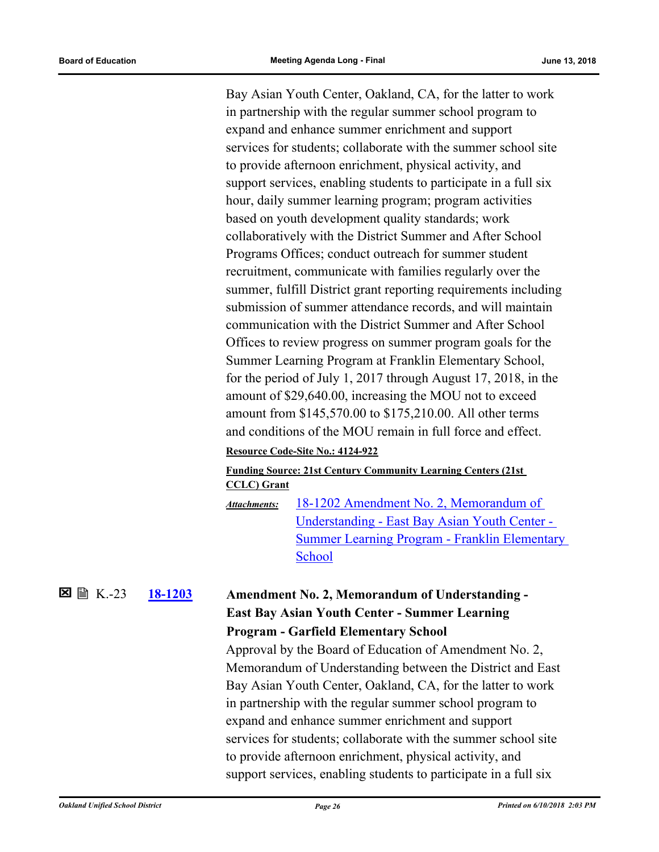Bay Asian Youth Center, Oakland, CA, for the latter to work in partnership with the regular summer school program to expand and enhance summer enrichment and support services for students; collaborate with the summer school site to provide afternoon enrichment, physical activity, and support services, enabling students to participate in a full six hour, daily summer learning program; program activities based on youth development quality standards; work collaboratively with the District Summer and After School Programs Offices; conduct outreach for summer student recruitment, communicate with families regularly over the summer, fulfill District grant reporting requirements including submission of summer attendance records, and will maintain communication with the District Summer and After School Offices to review progress on summer program goals for the Summer Learning Program at Franklin Elementary School, for the period of July 1, 2017 through August 17, 2018, in the amount of \$29,640.00, increasing the MOU not to exceed amount from \$145,570.00 to \$175,210.00. All other terms and conditions of the MOU remain in full force and effect.

#### **Resource Code-Site No.: 4124-922**

#### **Funding Source: 21st Century Community Learning Centers (21st CCLC) Grant**

18-1202 Amendment No. 2, Memorandum of Understanding - East Bay Asian Youth Center - [Summer Learning Program - Franklin Elementary](http://ousd.legistar.com/gateway.aspx?M=F&ID=88632.pdf)  School *Attachments:*

#### **[18-1203](http://ousd.legistar.com/gateway.aspx?m=l&id=/matter.aspx?key=43383) Amendment No. 2, Memorandum of Understanding - East Bay Asian Youth Center - Summer Learning Program - Garfield Elementary School 区** 图 K-23

Approval by the Board of Education of Amendment No. 2, Memorandum of Understanding between the District and East Bay Asian Youth Center, Oakland, CA, for the latter to work in partnership with the regular summer school program to expand and enhance summer enrichment and support services for students; collaborate with the summer school site to provide afternoon enrichment, physical activity, and support services, enabling students to participate in a full six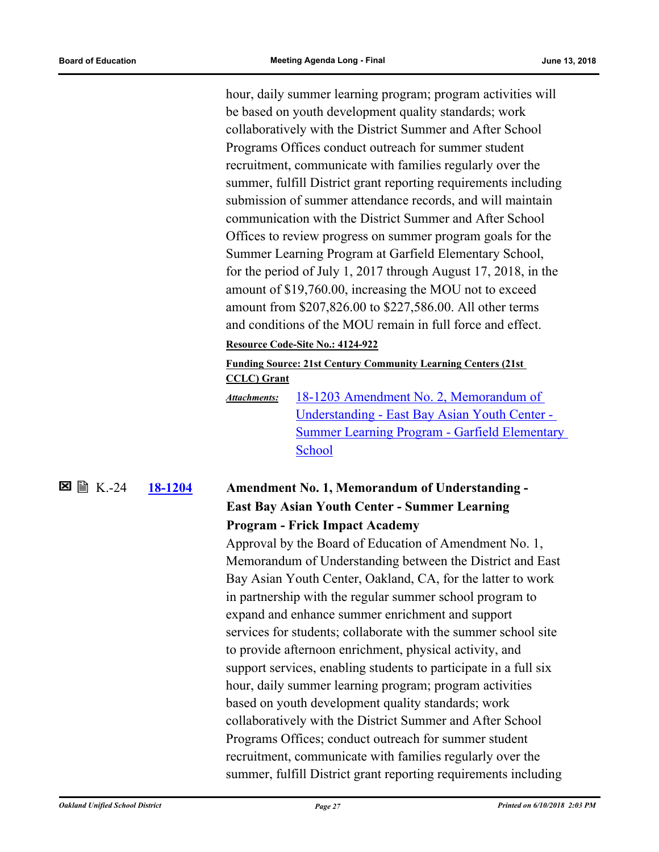hour, daily summer learning program; program activities will be based on youth development quality standards; work collaboratively with the District Summer and After School Programs Offices conduct outreach for summer student recruitment, communicate with families regularly over the summer, fulfill District grant reporting requirements including submission of summer attendance records, and will maintain communication with the District Summer and After School Offices to review progress on summer program goals for the Summer Learning Program at Garfield Elementary School, for the period of July 1, 2017 through August 17, 2018, in the amount of \$19,760.00, increasing the MOU not to exceed amount from \$207,826.00 to \$227,586.00. All other terms and conditions of the MOU remain in full force and effect.

#### **Resource Code-Site No.: 4124-922**

**Funding Source: 21st Century Community Learning Centers (21st CCLC) Grant**

18-1203 Amendment No. 2, Memorandum of Understanding - East Bay Asian Youth Center - [Summer Learning Program - Garfield Elementary](http://ousd.legistar.com/gateway.aspx?M=F&ID=88633.pdf)  School *Attachments:*

#### **[18-1204](http://ousd.legistar.com/gateway.aspx?m=l&id=/matter.aspx?key=43384) Amendment No. 1, Memorandum of Understanding - East Bay Asian Youth Center - Summer Learning Program - Frick Impact Academy**  $\Sigma \cong K-24$

Approval by the Board of Education of Amendment No. 1, Memorandum of Understanding between the District and East Bay Asian Youth Center, Oakland, CA, for the latter to work in partnership with the regular summer school program to expand and enhance summer enrichment and support services for students; collaborate with the summer school site to provide afternoon enrichment, physical activity, and support services, enabling students to participate in a full six hour, daily summer learning program; program activities based on youth development quality standards; work collaboratively with the District Summer and After School Programs Offices; conduct outreach for summer student recruitment, communicate with families regularly over the summer, fulfill District grant reporting requirements including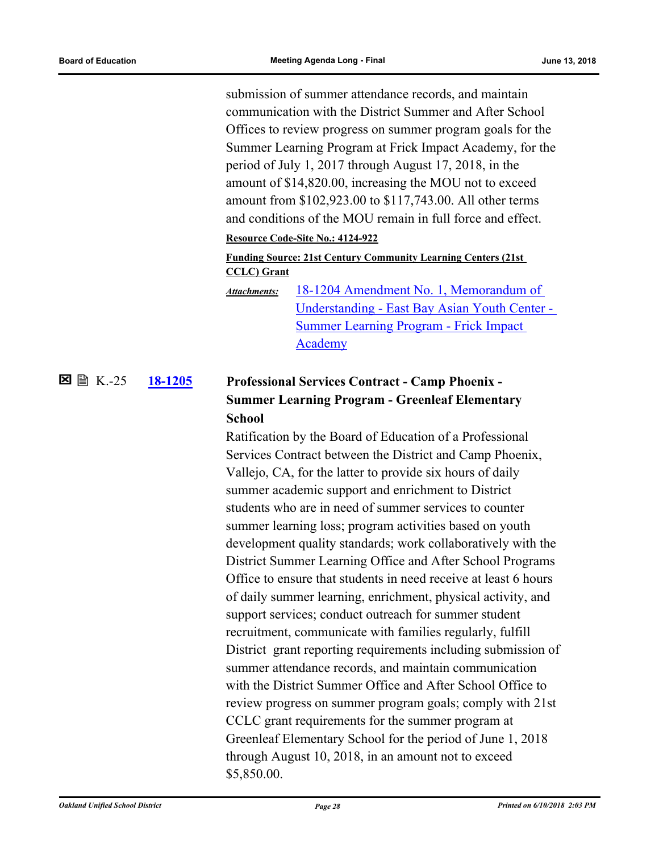submission of summer attendance records, and maintain communication with the District Summer and After School Offices to review progress on summer program goals for the Summer Learning Program at Frick Impact Academy, for the period of July 1, 2017 through August 17, 2018, in the amount of \$14,820.00, increasing the MOU not to exceed amount from \$102,923.00 to \$117,743.00. All other terms and conditions of the MOU remain in full force and effect.

#### **Resource Code-Site No.: 4124-922**

## **Funding Source: 21st Century Community Learning Centers (21st CCLC) Grant**

18-1204 Amendment No. 1, Memorandum of [Understanding - East Bay Asian Youth Center -](http://ousd.legistar.com/gateway.aspx?M=F&ID=88634.pdf)  Summer Learning Program - Frick Impact Academy *Attachments:*

#### **[18-1205](http://ousd.legistar.com/gateway.aspx?m=l&id=/matter.aspx?key=43385) Professional Services Contract - Camp Phoenix - Summer Learning Program - Greenleaf Elementary School** K.-25

Ratification by the Board of Education of a Professional Services Contract between the District and Camp Phoenix, Vallejo, CA, for the latter to provide six hours of daily summer academic support and enrichment to District students who are in need of summer services to counter summer learning loss; program activities based on youth development quality standards; work collaboratively with the District Summer Learning Office and After School Programs Office to ensure that students in need receive at least 6 hours of daily summer learning, enrichment, physical activity, and support services; conduct outreach for summer student recruitment, communicate with families regularly, fulfill District grant reporting requirements including submission of summer attendance records, and maintain communication with the District Summer Office and After School Office to review progress on summer program goals; comply with 21st CCLC grant requirements for the summer program at Greenleaf Elementary School for the period of June 1, 2018 through August 10, 2018, in an amount not to exceed \$5,850.00.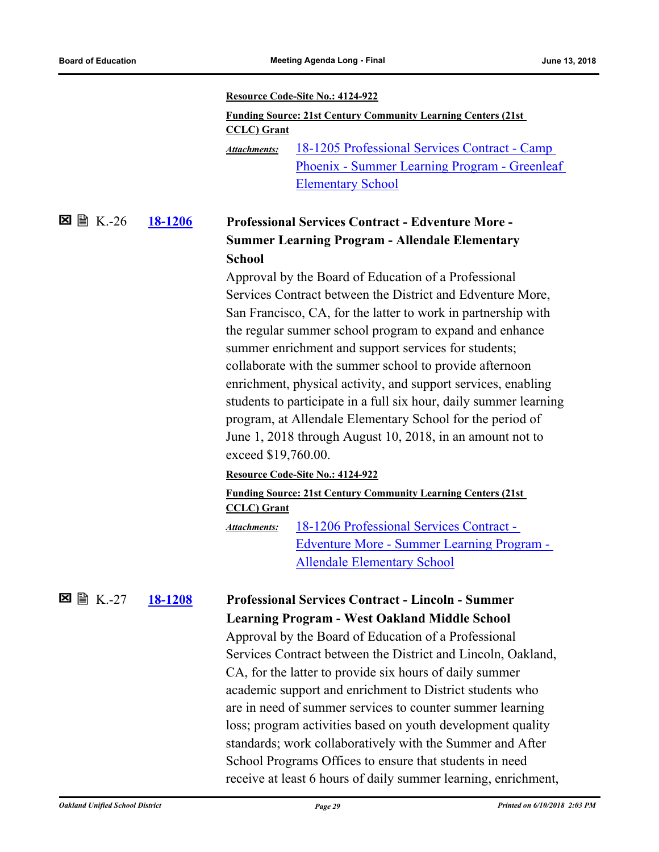#### **Resource Code-Site No.: 4124-922**

| <b>Funding Source: 21st Century Community Learning Centers (21st)</b> |                                               |  |  |
|-----------------------------------------------------------------------|-----------------------------------------------|--|--|
| <b>CCLC</b> ) Grant                                                   |                                               |  |  |
| <b>Attachments:</b>                                                   | 18-1205 Professional Services Contract - Camp |  |  |
|                                                                       | Phoenix - Summer Learning Program - Greenleaf |  |  |
|                                                                       | <b>Elementary School</b>                      |  |  |

#### **[18-1206](http://ousd.legistar.com/gateway.aspx?m=l&id=/matter.aspx?key=43386) Professional Services Contract - Edventure More - Summer Learning Program - Allendale Elementary School**  $\Sigma \cong K.-26$

Approval by the Board of Education of a Professional Services Contract between the District and Edventure More, San Francisco, CA, for the latter to work in partnership with the regular summer school program to expand and enhance summer enrichment and support services for students; collaborate with the summer school to provide afternoon enrichment, physical activity, and support services, enabling students to participate in a full six hour, daily summer learning program, at Allendale Elementary School for the period of June 1, 2018 through August 10, 2018, in an amount not to exceed \$19,760.00.

#### **Resource Code-Site No.: 4124-922**

#### **Funding Source: 21st Century Community Learning Centers (21st CCLC) Grant** 18-1206 Professional Services Contract - *Attachments:*

[Edventure More - Summer Learning Program -](http://ousd.legistar.com/gateway.aspx?M=F&ID=88636.pdf)  Allendale Elementary School

#### **[18-1208](http://ousd.legistar.com/gateway.aspx?m=l&id=/matter.aspx?key=43388) Professional Services Contract - Lincoln - Summer Learning Program - West Oakland Middle School**  $\Sigma \cong K.-27$

Approval by the Board of Education of a Professional Services Contract between the District and Lincoln, Oakland, CA, for the latter to provide six hours of daily summer academic support and enrichment to District students who are in need of summer services to counter summer learning loss; program activities based on youth development quality standards; work collaboratively with the Summer and After School Programs Offices to ensure that students in need receive at least 6 hours of daily summer learning, enrichment,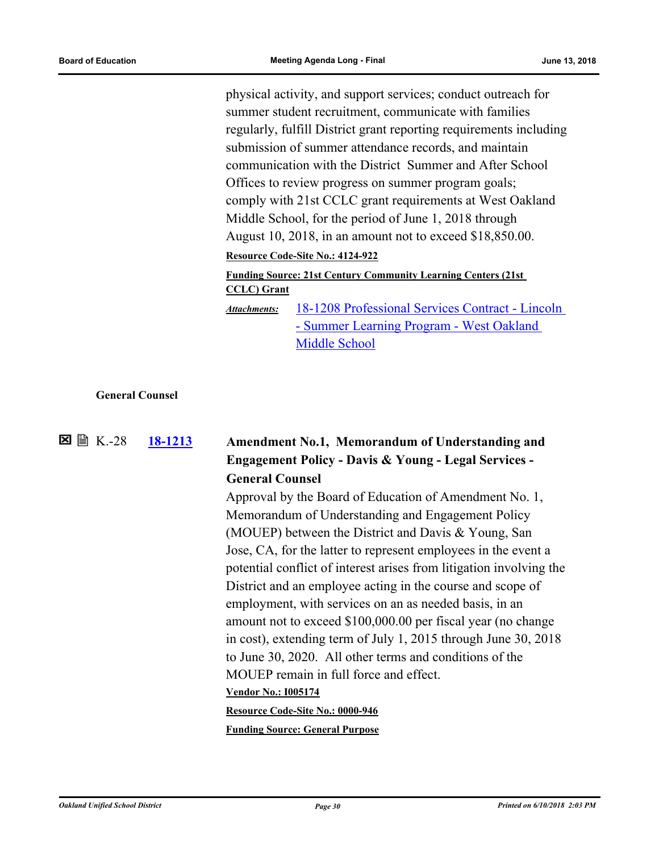physical activity, and support services; conduct outreach for summer student recruitment, communicate with families regularly, fulfill District grant reporting requirements including submission of summer attendance records, and maintain communication with the District Summer and After School Offices to review progress on summer program goals; comply with 21st CCLC grant requirements at West Oakland Middle School, for the period of June 1, 2018 through August 10, 2018, in an amount not to exceed \$18,850.00.

**Resource Code-Site No.: 4124-922**

#### **Funding Source: 21st Century Community Learning Centers (21st CCLC) Grant**

[18-1208 Professional Services Contract - Lincoln](http://ousd.legistar.com/gateway.aspx?M=F&ID=88637.pdf)  - Summer Learning Program - West Oakland Middle School *Attachments:*

#### **General Counsel**

 $\Sigma \cong K - 28$ 

## **[18-1213](http://ousd.legistar.com/gateway.aspx?m=l&id=/matter.aspx?key=43393) Amendment No.1, Memorandum of Understanding and Engagement Policy - Davis & Young - Legal Services - General Counsel**

Approval by the Board of Education of Amendment No. 1, Memorandum of Understanding and Engagement Policy (MOUEP) between the District and Davis & Young, San Jose, CA, for the latter to represent employees in the event a potential conflict of interest arises from litigation involving the District and an employee acting in the course and scope of employment, with services on an as needed basis, in an amount not to exceed \$100,000.00 per fiscal year (no change in cost), extending term of July 1, 2015 through June 30, 2018 to June 30, 2020. All other terms and conditions of the MOUEP remain in full force and effect. **Vendor No.: I005174 Resource Code-Site No.: 0000-946**

**Funding Source: General Purpose**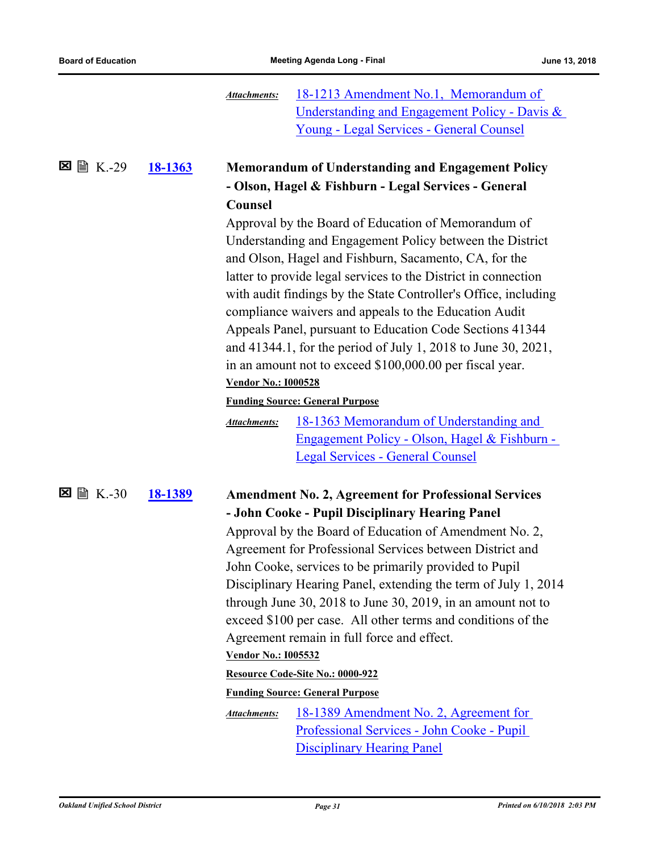|                        |                | <b>Attachments:</b>        | 18-1213 Amendment No.1, Memorandum of<br>Understanding and Engagement Policy - Davis & |
|------------------------|----------------|----------------------------|----------------------------------------------------------------------------------------|
|                        |                |                            | Young - Legal Services - General Counsel                                               |
|                        |                |                            |                                                                                        |
| <b>■ K.-29</b><br>⊠    | <u>18-1363</u> |                            | <b>Memorandum of Understanding and Engagement Policy</b>                               |
|                        |                |                            | - Olson, Hagel & Fishburn - Legal Services - General                                   |
|                        |                | <b>Counsel</b>             |                                                                                        |
|                        |                |                            | Approval by the Board of Education of Memorandum of                                    |
|                        |                |                            | Understanding and Engagement Policy between the District                               |
|                        |                |                            | and Olson, Hagel and Fishburn, Sacamento, CA, for the                                  |
|                        |                |                            | latter to provide legal services to the District in connection                         |
|                        |                |                            | with audit findings by the State Controller's Office, including                        |
|                        |                |                            | compliance waivers and appeals to the Education Audit                                  |
|                        |                |                            | Appeals Panel, pursuant to Education Code Sections 41344                               |
|                        |                |                            | and 41344.1, for the period of July 1, 2018 to June 30, 2021,                          |
|                        |                |                            | in an amount not to exceed \$100,000.00 per fiscal year.                               |
|                        |                | <b>Vendor No.: 1000528</b> |                                                                                        |
|                        |                |                            | <b>Funding Source: General Purpose</b>                                                 |
|                        |                | <b>Attachments:</b>        | 18-1363 Memorandum of Understanding and                                                |
|                        |                |                            | <u> Engagement Policy - Olson, Hagel &amp; Fishburn -</u>                              |
|                        |                |                            | <b>Legal Services - General Counsel</b>                                                |
| $\boxtimes \cong K.30$ | 18-1389        |                            | <b>Amendment No. 2, Agreement for Professional Services</b>                            |
|                        |                |                            | - John Cooke - Pupil Disciplinary Hearing Panel                                        |
|                        |                |                            | Approval by the Board of Education of Amendment No. 2,                                 |
|                        |                |                            | Agreement for Professional Services between District and                               |
|                        |                |                            | John Cooke, services to be primarily provided to Pupil                                 |
|                        |                |                            | Disciplinary Hearing Panel, extending the term of July 1, 2014                         |
|                        |                |                            | through June 30, 2018 to June 30, 2019, in an amount not to                            |
|                        |                |                            | exceed \$100 per case. All other terms and conditions of the                           |
|                        |                |                            | Agreement remain in full force and effect.                                             |
|                        |                | <b>Vendor No.: 1005532</b> |                                                                                        |
|                        |                |                            | Resource Code-Site No.: 0000-922                                                       |
|                        |                |                            | <b>Funding Source: General Purpose</b>                                                 |
|                        |                | <b>Attachments:</b>        | 18-1389 Amendment No. 2, Agreement for                                                 |
|                        |                |                            | Professional Services - John Cooke - Pupil                                             |
|                        |                |                            | <b>Disciplinary Hearing Panel</b>                                                      |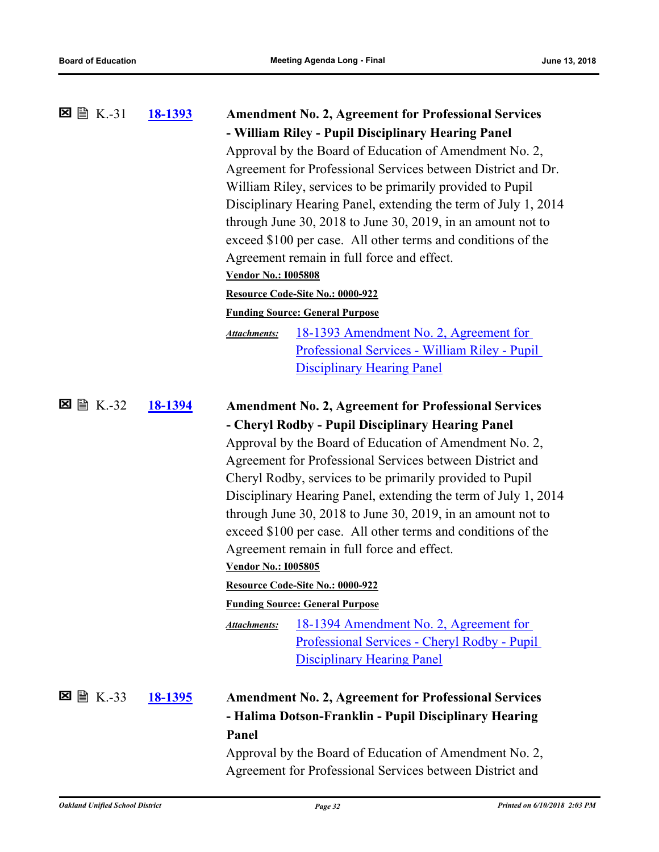| $\boxtimes \cong K.-31$   | <u>18-1393</u> | <b>Amendment No. 2, Agreement for Professional Services</b><br>- William Riley - Pupil Disciplinary Hearing Panel<br>Approval by the Board of Education of Amendment No. 2,<br>Agreement for Professional Services between District and Dr.<br>William Riley, services to be primarily provided to Pupil<br>Disciplinary Hearing Panel, extending the term of July 1, 2014<br>through June 30, 2018 to June 30, 2019, in an amount not to<br>exceed \$100 per case. All other terms and conditions of the<br>Agreement remain in full force and effect.<br><b>Vendor No.: 1005808</b>                                                                                                                                                                                                                                    |  |
|---------------------------|----------------|--------------------------------------------------------------------------------------------------------------------------------------------------------------------------------------------------------------------------------------------------------------------------------------------------------------------------------------------------------------------------------------------------------------------------------------------------------------------------------------------------------------------------------------------------------------------------------------------------------------------------------------------------------------------------------------------------------------------------------------------------------------------------------------------------------------------------|--|
|                           |                | Resource Code-Site No.: 0000-922                                                                                                                                                                                                                                                                                                                                                                                                                                                                                                                                                                                                                                                                                                                                                                                         |  |
|                           |                | <b>Funding Source: General Purpose</b><br><u>18-1393 Amendment No. 2, Agreement for</u><br><b>Attachments:</b><br>Professional Services - William Riley - Pupil<br><b>Disciplinary Hearing Panel</b>                                                                                                                                                                                                                                                                                                                                                                                                                                                                                                                                                                                                                     |  |
| $\boxtimes$ $\cong$ K.-32 | 18-1394        | <b>Amendment No. 2, Agreement for Professional Services</b><br>- Cheryl Rodby - Pupil Disciplinary Hearing Panel<br>Approval by the Board of Education of Amendment No. 2,<br>Agreement for Professional Services between District and<br>Cheryl Rodby, services to be primarily provided to Pupil<br>Disciplinary Hearing Panel, extending the term of July 1, 2014<br>through June 30, $2018$ to June 30, $2019$ , in an amount not to<br>exceed \$100 per case. All other terms and conditions of the<br>Agreement remain in full force and effect.<br><b>Vendor No.: 1005805</b><br>Resource Code-Site No.: 0000-922<br><b>Funding Source: General Purpose</b><br>18-1394 Amendment No. 2, Agreement for<br><b>Attachments:</b><br>Professional Services - Cheryl Rodby - Pupil<br><b>Disciplinary Hearing Panel</b> |  |
|                           | <u>18-1395</u> | <b>Amendment No. 2, Agreement for Professional Services</b><br>- Halima Dotson-Franklin - Pupil Disciplinary Hearing<br>Panel<br>Approval by the Board of Education of Amendment No. 2,<br>Agreement for Professional Services between District and                                                                                                                                                                                                                                                                                                                                                                                                                                                                                                                                                                      |  |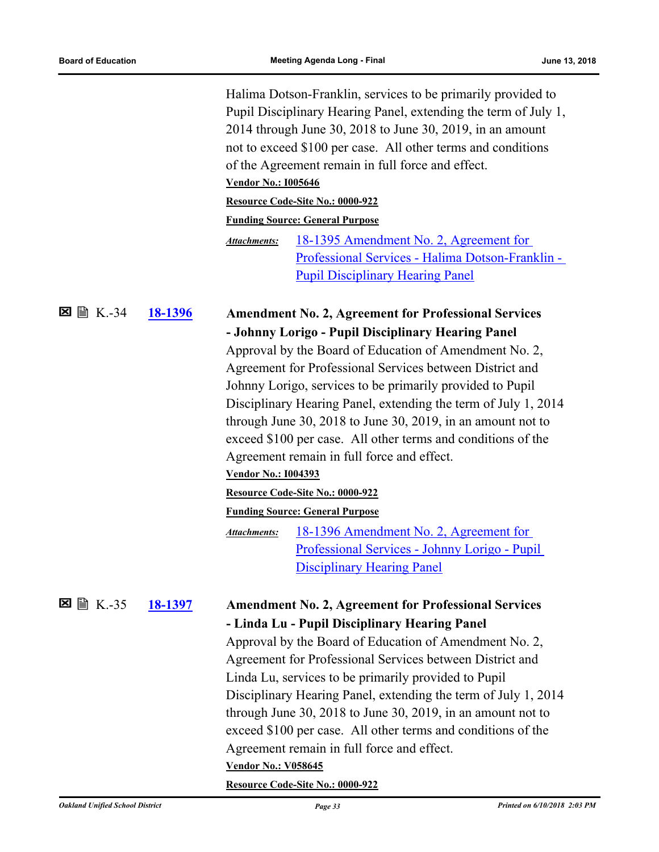図

図

|                |         | Halima Dotson-Franklin, services to be primarily provided to<br>Pupil Disciplinary Hearing Panel, extending the term of July 1,<br>2014 through June 30, 2018 to June 30, 2019, in an amount<br>not to exceed \$100 per case. All other terms and conditions<br>of the Agreement remain in full force and effect.<br><b>Vendor No.: I005646</b><br>Resource Code-Site No.: 0000-922<br><b>Funding Source: General Purpose</b><br><u>18-1395 Amendment No. 2, Agreement for</u><br><b>Attachments:</b><br>Professional Services - Halima Dotson-Franklin -<br><b>Pupil Disciplinary Hearing Panel</b> |
|----------------|---------|------------------------------------------------------------------------------------------------------------------------------------------------------------------------------------------------------------------------------------------------------------------------------------------------------------------------------------------------------------------------------------------------------------------------------------------------------------------------------------------------------------------------------------------------------------------------------------------------------|
| <b>■ K.-34</b> | 18-1396 | <b>Amendment No. 2, Agreement for Professional Services</b>                                                                                                                                                                                                                                                                                                                                                                                                                                                                                                                                          |
|                |         | - Johnny Lorigo - Pupil Disciplinary Hearing Panel                                                                                                                                                                                                                                                                                                                                                                                                                                                                                                                                                   |
|                |         | Approval by the Board of Education of Amendment No. 2,                                                                                                                                                                                                                                                                                                                                                                                                                                                                                                                                               |
|                |         | Agreement for Professional Services between District and                                                                                                                                                                                                                                                                                                                                                                                                                                                                                                                                             |
|                |         | Johnny Lorigo, services to be primarily provided to Pupil                                                                                                                                                                                                                                                                                                                                                                                                                                                                                                                                            |
|                |         | Disciplinary Hearing Panel, extending the term of July 1, 2014                                                                                                                                                                                                                                                                                                                                                                                                                                                                                                                                       |
|                |         | through June 30, 2018 to June 30, 2019, in an amount not to                                                                                                                                                                                                                                                                                                                                                                                                                                                                                                                                          |
|                |         | exceed \$100 per case. All other terms and conditions of the                                                                                                                                                                                                                                                                                                                                                                                                                                                                                                                                         |
|                |         | Agreement remain in full force and effect.                                                                                                                                                                                                                                                                                                                                                                                                                                                                                                                                                           |
|                |         | <b>Vendor No.: 1004393</b>                                                                                                                                                                                                                                                                                                                                                                                                                                                                                                                                                                           |
|                |         | Resource Code-Site No.: 0000-922                                                                                                                                                                                                                                                                                                                                                                                                                                                                                                                                                                     |
|                |         | <b>Funding Source: General Purpose</b>                                                                                                                                                                                                                                                                                                                                                                                                                                                                                                                                                               |
|                |         | 18-1396 Amendment No. 2, Agreement for<br><b>Attachments:</b>                                                                                                                                                                                                                                                                                                                                                                                                                                                                                                                                        |
|                |         | Professional Services - Johnny Lorigo - Pupil                                                                                                                                                                                                                                                                                                                                                                                                                                                                                                                                                        |
|                |         | <b>Disciplinary Hearing Panel</b>                                                                                                                                                                                                                                                                                                                                                                                                                                                                                                                                                                    |
|                |         |                                                                                                                                                                                                                                                                                                                                                                                                                                                                                                                                                                                                      |
| <b>■ K.-35</b> | 18-1397 | <b>Amendment No. 2, Agreement for Professional Services</b>                                                                                                                                                                                                                                                                                                                                                                                                                                                                                                                                          |
|                |         | - Linda Lu - Pupil Disciplinary Hearing Panel                                                                                                                                                                                                                                                                                                                                                                                                                                                                                                                                                        |
|                |         | Approval by the Board of Education of Amendment No. 2,                                                                                                                                                                                                                                                                                                                                                                                                                                                                                                                                               |
|                |         | Agreement for Professional Services between District and                                                                                                                                                                                                                                                                                                                                                                                                                                                                                                                                             |
|                |         | Linda Lu, services to be primarily provided to Pupil                                                                                                                                                                                                                                                                                                                                                                                                                                                                                                                                                 |
|                |         | Disciplinary Hearing Panel, extending the term of July 1, 2014                                                                                                                                                                                                                                                                                                                                                                                                                                                                                                                                       |
|                |         | through June 30, 2018 to June 30, 2019, in an amount not to                                                                                                                                                                                                                                                                                                                                                                                                                                                                                                                                          |
|                |         | exceed \$100 per case. All other terms and conditions of the                                                                                                                                                                                                                                                                                                                                                                                                                                                                                                                                         |
|                |         | Agreement remain in full force and effect.                                                                                                                                                                                                                                                                                                                                                                                                                                                                                                                                                           |
|                |         | <b>Vendor No.: V058645</b>                                                                                                                                                                                                                                                                                                                                                                                                                                                                                                                                                                           |
|                |         | $0.000$ $0.25$                                                                                                                                                                                                                                                                                                                                                                                                                                                                                                                                                                                       |

**Resource Code-Site No.: 0000-922**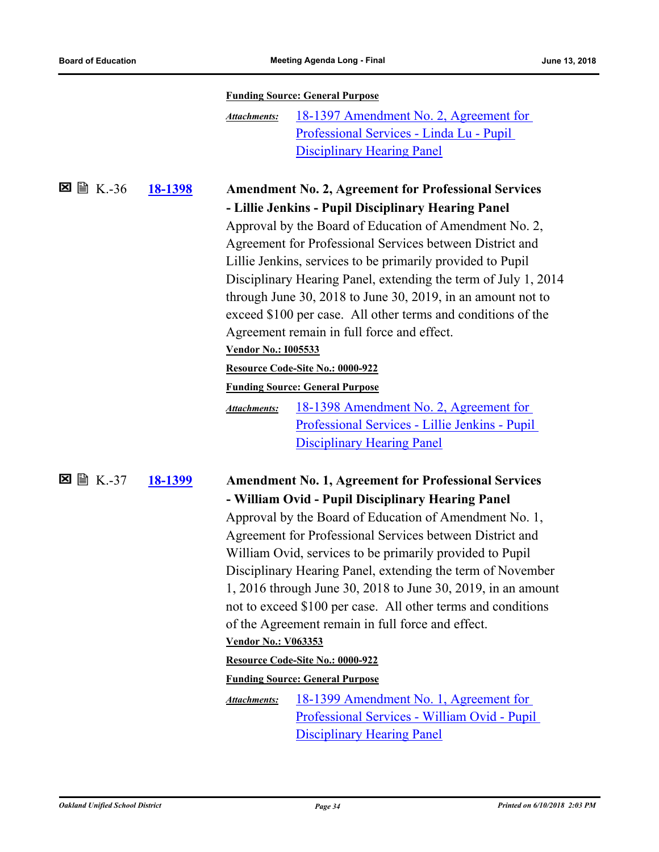|                             |                |                            | <b>Funding Source: General Purpose</b>                         |
|-----------------------------|----------------|----------------------------|----------------------------------------------------------------|
|                             |                | <b>Attachments:</b>        | 18-1397 Amendment No. 2, Agreement for                         |
|                             |                |                            | Professional Services - Linda Lu - Pupil                       |
|                             |                |                            | <b>Disciplinary Hearing Panel</b>                              |
| $\triangleright$ K.-36<br>⊠ |                |                            |                                                                |
|                             | <u>18-1398</u> |                            | <b>Amendment No. 2, Agreement for Professional Services</b>    |
|                             |                |                            | - Lillie Jenkins - Pupil Disciplinary Hearing Panel            |
|                             |                |                            | Approval by the Board of Education of Amendment No. 2,         |
|                             |                |                            | Agreement for Professional Services between District and       |
|                             |                |                            | Lillie Jenkins, services to be primarily provided to Pupil     |
|                             |                |                            | Disciplinary Hearing Panel, extending the term of July 1, 2014 |
|                             |                |                            | through June 30, 2018 to June 30, 2019, in an amount not to    |
|                             |                |                            | exceed \$100 per case. All other terms and conditions of the   |
|                             |                |                            | Agreement remain in full force and effect.                     |
|                             |                | <b>Vendor No.: I005533</b> |                                                                |
|                             |                |                            | Resource Code-Site No.: 0000-922                               |
|                             |                |                            | <b>Funding Source: General Purpose</b>                         |
|                             |                | <b>Attachments:</b>        | 18-1398 Amendment No. 2, Agreement for                         |
|                             |                |                            | Professional Services - Lillie Jenkins - Pupil                 |
|                             |                |                            | <b>Disciplinary Hearing Panel</b>                              |
| $\boxtimes$ $\cong$ K.-37   | <u>18-1399</u> |                            | <b>Amendment No. 1, Agreement for Professional Services</b>    |
|                             |                |                            | - William Ovid - Pupil Disciplinary Hearing Panel              |
|                             |                |                            | Approval by the Board of Education of Amendment No. 1,         |
|                             |                |                            | Agreement for Professional Services between District and       |
|                             |                |                            | William Ovid, services to be primarily provided to Pupil       |
|                             |                |                            | Disciplinary Hearing Panel, extending the term of November     |
|                             |                |                            | 1, 2016 through June 30, 2018 to June 30, 2019, in an amount   |
|                             |                |                            | not to exceed \$100 per case. All other terms and conditions   |
|                             |                |                            | of the Agreement remain in full force and effect.              |
|                             |                | <b>Vendor No.: V063353</b> |                                                                |
|                             |                |                            | Resource Code-Site No.: 0000-922                               |
|                             |                |                            | <b>Funding Source: General Purpose</b>                         |
|                             |                | Attachments:               | 18-1399 Amendment No. 1, Agreement for                         |
|                             |                |                            | Professional Services - William Ovid - Pupil                   |
|                             |                |                            | <b>Disciplinary Hearing Panel</b>                              |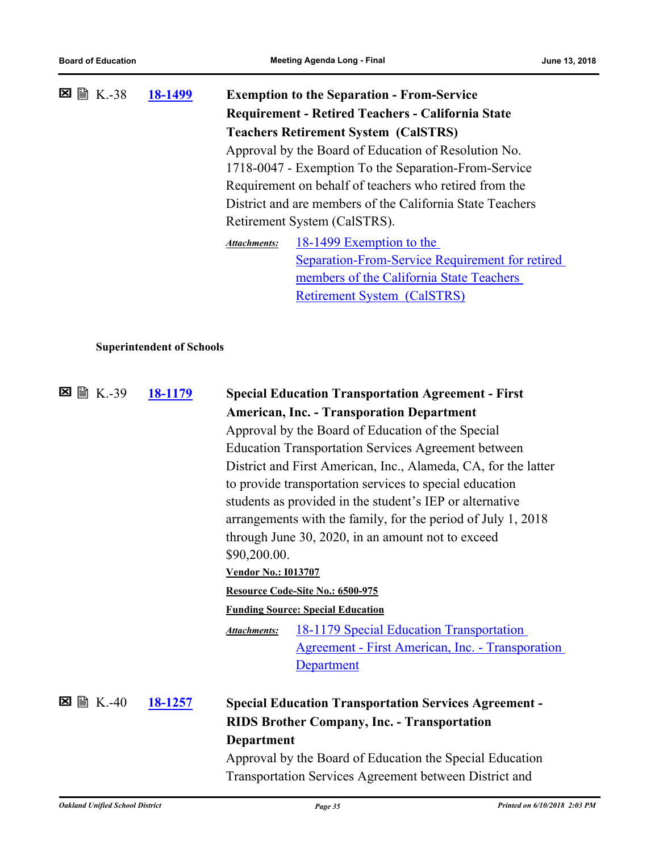|   |         | 18-1499                          |                                                      | <b>Exemption to the Separation - From-Service</b>                                                                         |  |
|---|---------|----------------------------------|------------------------------------------------------|---------------------------------------------------------------------------------------------------------------------------|--|
|   |         |                                  |                                                      | <b>Requirement - Retired Teachers - California State</b>                                                                  |  |
|   |         |                                  |                                                      | <b>Teachers Retirement System (CalSTRS)</b>                                                                               |  |
|   |         |                                  |                                                      | Approval by the Board of Education of Resolution No.                                                                      |  |
|   |         |                                  | 1718-0047 - Exemption To the Separation-From-Service |                                                                                                                           |  |
|   |         |                                  |                                                      | Requirement on behalf of teachers who retired from the                                                                    |  |
|   |         |                                  |                                                      | District and are members of the California State Teachers                                                                 |  |
|   |         |                                  |                                                      | Retirement System (CalSTRS).                                                                                              |  |
|   |         |                                  | <b>Attachments:</b>                                  | 18-1499 Exemption to the                                                                                                  |  |
|   |         |                                  |                                                      | Separation-From-Service Requirement for retired                                                                           |  |
|   |         |                                  |                                                      | members of the California State Teachers                                                                                  |  |
|   |         |                                  |                                                      | <b>Retirement System (CalSTRS)</b>                                                                                        |  |
|   |         |                                  |                                                      |                                                                                                                           |  |
|   |         |                                  |                                                      |                                                                                                                           |  |
|   |         | <b>Superintendent of Schools</b> |                                                      |                                                                                                                           |  |
|   |         |                                  |                                                      |                                                                                                                           |  |
| ⊠ | A K.-39 | <u>18-1179</u>                   |                                                      | <b>Special Education Transportation Agreement - First</b>                                                                 |  |
|   |         |                                  |                                                      | <b>American, Inc. - Transporation Department</b>                                                                          |  |
|   |         |                                  |                                                      | Approval by the Board of Education of the Special                                                                         |  |
|   |         |                                  |                                                      | <b>Education Transportation Services Agreement between</b>                                                                |  |
|   |         |                                  |                                                      |                                                                                                                           |  |
|   |         |                                  |                                                      |                                                                                                                           |  |
|   |         |                                  |                                                      | District and First American, Inc., Alameda, CA, for the latter<br>to provide transportation services to special education |  |

students as provided in the student's IEP or alternative arrangements with the family, for the period of July 1, 2018 through June 30, 2020, in an amount not to exceed \$90,200.00.

#### **Vendor No.: I013707**

#### **Resource Code-Site No.: 6500-975**

#### **Funding Source: Special Education**

18-1179 Special Education Transportation [Agreement - First American, Inc. - Transporation](http://ousd.legistar.com/gateway.aspx?M=F&ID=88711.pdf)  **Department** *Attachments:*

#### **[18-1257](http://ousd.legistar.com/gateway.aspx?m=l&id=/matter.aspx?key=43437) Special Education Transportation Services Agreement - RIDS Brother Company, Inc. - Transportation Department**  $\boxtimes$  a  $K.-40$

Approval by the Board of Education the Special Education Transportation Services Agreement between District and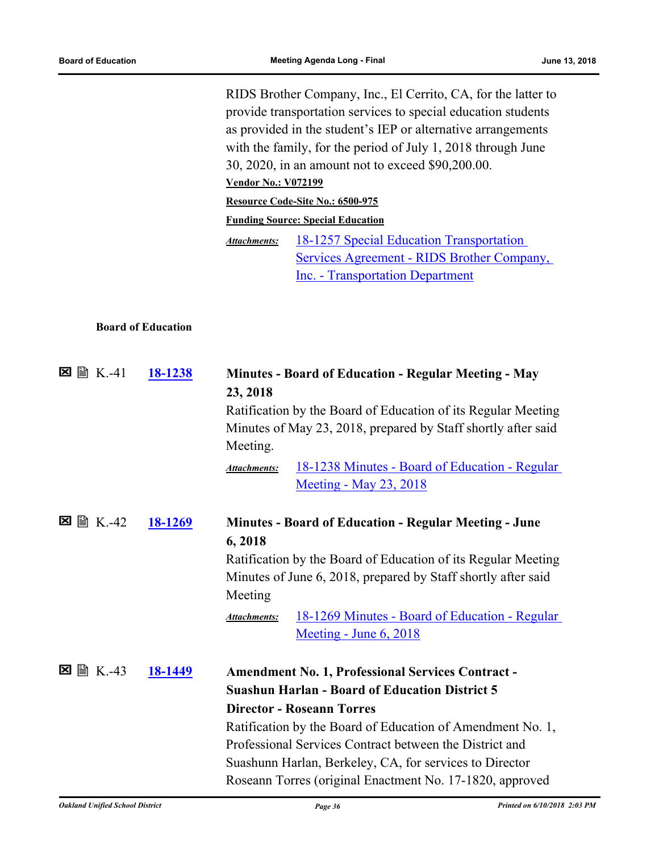RIDS Brother Company, Inc., El Cerrito, CA, for the latter to provide transportation services to special education students as provided in the student's IEP or alternative arrangements with the family, for the period of July 1, 2018 through June 30, 2020, in an amount not to exceed \$90,200.00. **Vendor No.: V072199 Resource Code-Site No.: 6500-975 Funding Source: Special Education** 18-1257 Special Education Transportation [Services Agreement - RIDS Brother Company,](http://ousd.legistar.com/gateway.aspx?M=F&ID=88900.pdf)  Inc. - Transportation Department *Attachments:*

#### **Board of Education**

| $\Sigma \cong K.-41$ | 18-1238 | <b>Minutes - Board of Education - Regular Meeting - May</b><br>23, 2018<br>Ratification by the Board of Education of its Regular Meeting<br>Minutes of May 23, 2018, prepared by Staff shortly after said<br>Meeting.                                                                                                                                                                                 |
|----------------------|---------|-------------------------------------------------------------------------------------------------------------------------------------------------------------------------------------------------------------------------------------------------------------------------------------------------------------------------------------------------------------------------------------------------------|
|                      |         | 18-1238 Minutes - Board of Education - Regular<br><b>Attachments:</b><br><u>Meeting - May 23, 2018</u>                                                                                                                                                                                                                                                                                                |
| ■ K.-42<br>⊠         | 18-1269 | <b>Minutes - Board of Education - Regular Meeting - June</b><br>6,2018<br>Ratification by the Board of Education of its Regular Meeting<br>Minutes of June 6, 2018, prepared by Staff shortly after said<br>Meeting<br>18-1269 Minutes - Board of Education - Regular<br><b>Attachments:</b><br><u>Meeting - June 6, 2018</u>                                                                         |
| <b>■ K.-43</b><br>×  | 18-1449 | <b>Amendment No. 1, Professional Services Contract -</b><br><b>Suashun Harlan - Board of Education District 5</b><br><b>Director - Roseann Torres</b><br>Ratification by the Board of Education of Amendment No. 1,<br>Professional Services Contract between the District and<br>Suashunn Harlan, Berkeley, CA, for services to Director<br>Roseann Torres (original Enactment No. 17-1820, approved |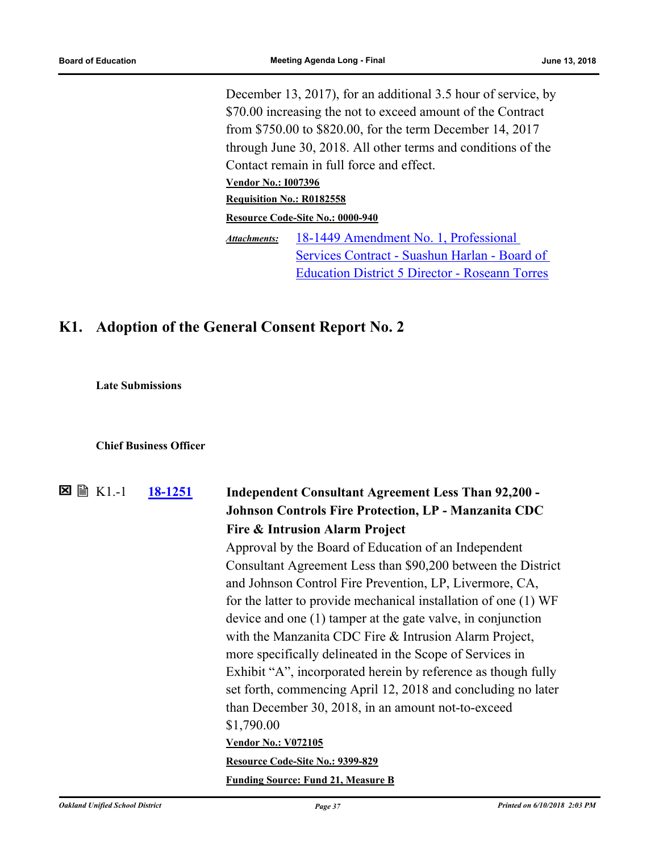December 13, 2017), for an additional 3.5 hour of service, by \$70.00 increasing the not to exceed amount of the Contract from \$750.00 to \$820.00, for the term December 14, 2017 through June 30, 2018. All other terms and conditions of the Contact remain in full force and effect. **Vendor No.: I007396 Requisition No.: R0182558 Resource Code-Site No.: 0000-940** 18-1449 Amendment No. 1, Professional [Services Contract - Suashun Harlan - Board of](http://ousd.legistar.com/gateway.aspx?M=F&ID=88819.pdf)  Education District 5 Director - Roseann Torres *Attachments:*

## **K1. Adoption of the General Consent Report No. 2**

**Late Submissions**

#### **Chief Business Officer**

| ⊠<br>$\exists$ K1.-1                   | 18-1251 | <b>Independent Consultant Agreement Less Than 92,200 -</b>      |                              |
|----------------------------------------|---------|-----------------------------------------------------------------|------------------------------|
|                                        |         | <b>Johnson Controls Fire Protection, LP - Manzanita CDC</b>     |                              |
|                                        |         | <b>Fire &amp; Intrusion Alarm Project</b>                       |                              |
|                                        |         | Approval by the Board of Education of an Independent            |                              |
|                                        |         | Consultant Agreement Less than \$90,200 between the District    |                              |
|                                        |         | and Johnson Control Fire Prevention, LP, Livermore, CA,         |                              |
|                                        |         | for the latter to provide mechanical installation of one (1) WF |                              |
|                                        |         | device and one (1) tamper at the gate valve, in conjunction     |                              |
|                                        |         | with the Manzanita CDC Fire & Intrusion Alarm Project,          |                              |
|                                        |         | more specifically delineated in the Scope of Services in        |                              |
|                                        |         | Exhibit "A", incorporated herein by reference as though fully   |                              |
|                                        |         | set forth, commencing April 12, 2018 and concluding no later    |                              |
|                                        |         | than December 30, 2018, in an amount not-to-exceed              |                              |
|                                        |         | \$1,790.00                                                      |                              |
|                                        |         | <b>Vendor No.: V072105</b>                                      |                              |
|                                        |         | Resource Code-Site No.: 9399-829                                |                              |
|                                        |         | <b>Funding Source: Fund 21, Measure B</b>                       |                              |
| <b>Oakland Unified School District</b> |         | Page 37                                                         | Printed on 6/10/2018 2:03 PM |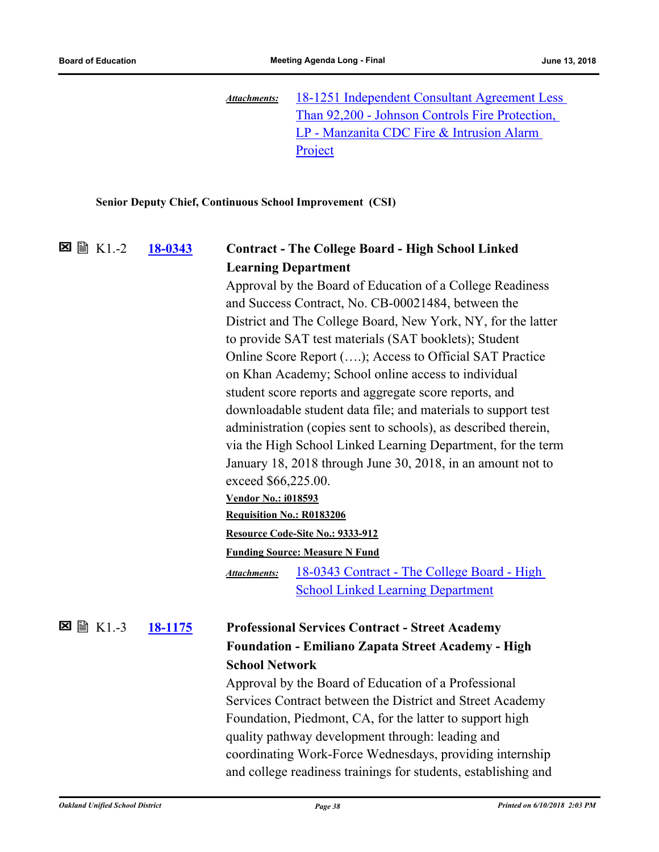[18-1251 Independent Consultant Agreement Less](http://ousd.legistar.com/gateway.aspx?M=F&ID=88720.pdf)  Than 92,200 - Johnson Controls Fire Protection, LP - Manzanita CDC Fire & Intrusion Alarm Project *Attachments:*

#### **Senior Deputy Chief, Continuous School Improvement (CSI)**

#### **[18-0343](http://ousd.legistar.com/gateway.aspx?m=l&id=/matter.aspx?key=42523) Contract - The College Board - High School Linked Learning Department** K1.-2

Approval by the Board of Education of a College Readiness and Success Contract, No. CB-00021484, between the District and The College Board, New York, NY, for the latter to provide SAT test materials (SAT booklets); Student Online Score Report (….); Access to Official SAT Practice on Khan Academy; School online access to individual student score reports and aggregate score reports, and downloadable student data file; and materials to support test administration (copies sent to schools), as described therein, via the High School Linked Learning Department, for the term January 18, 2018 through June 30, 2018, in an amount not to exceed \$66,225.00. **Vendor No.: i018593**

#### **Requisition No.: R0183206**

**Resource Code-Site No.: 9333-912**

#### **Funding Source: Measure N Fund**

[18-0343 Contract - The College Board - High](http://ousd.legistar.com/gateway.aspx?M=F&ID=88641.pdf)  School Linked Learning Department *Attachments:*

#### **[18-1175](http://ousd.legistar.com/gateway.aspx?m=l&id=/matter.aspx?key=43355) Professional Services Contract - Street Academy Foundation - Emiliano Zapata Street Academy - High School Network** K1.-3

Approval by the Board of Education of a Professional Services Contract between the District and Street Academy Foundation, Piedmont, CA, for the latter to support high quality pathway development through: leading and coordinating Work-Force Wednesdays, providing internship and college readiness trainings for students, establishing and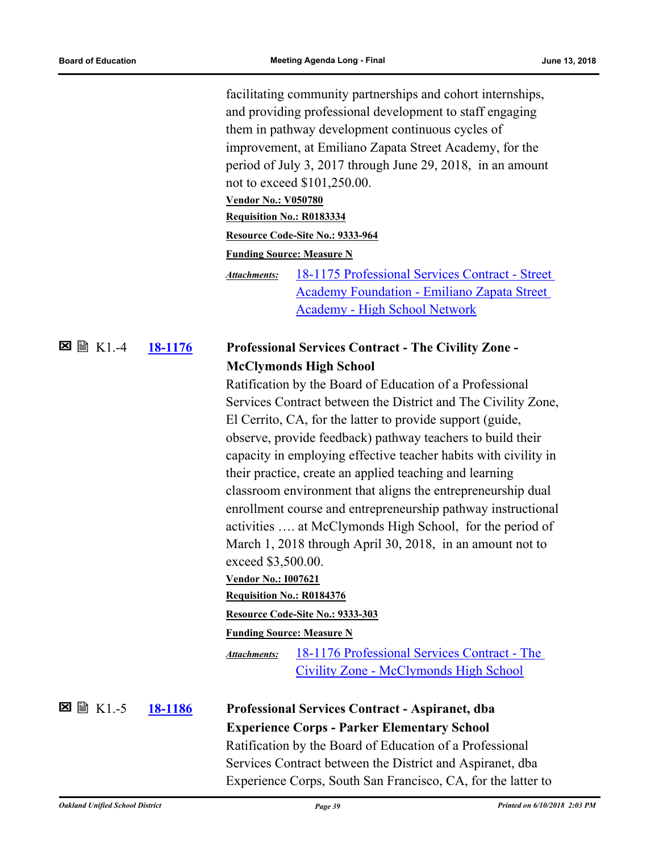facilitating community partnerships and cohort internships, and providing professional development to staff engaging them in pathway development continuous cycles of improvement, at Emiliano Zapata Street Academy, for the period of July 3, 2017 through June 29, 2018, in an amount not to exceed \$101,250.00. **Vendor No.: V050780 Requisition No.: R0183334 Resource Code-Site No.: 9333-964 Funding Source: Measure N** [18-1175 Professional Services Contract - Street](http://ousd.legistar.com/gateway.aspx?M=F&ID=88944.pdf)  *Attachments:*

Academy Foundation - Emiliano Zapata Street Academy - High School Network

#### **[18-1176](http://ousd.legistar.com/gateway.aspx?m=l&id=/matter.aspx?key=43356) Professional Services Contract - The Civility Zone - McClymonds High School** K1.-4

Ratification by the Board of Education of a Professional Services Contract between the District and The Civility Zone, El Cerrito, CA, for the latter to provide support (guide, observe, provide feedback) pathway teachers to build their capacity in employing effective teacher habits with civility in their practice, create an applied teaching and learning classroom environment that aligns the entrepreneurship dual enrollment course and entrepreneurship pathway instructional activities …. at McClymonds High School, for the period of March 1, 2018 through April 30, 2018, in an amount not to exceed \$3,500.00. **Vendor No.: I007621**

#### **Requisition No.: R0184376**

**Resource Code-Site No.: 9333-303**

**Funding Source: Measure N**

[18-1176 Professional Services Contract - The](http://ousd.legistar.com/gateway.aspx?M=F&ID=88945.pdf)  Civility Zone - McClymonds High School *Attachments:*

K1.-5

## **[18-1186](http://ousd.legistar.com/gateway.aspx?m=l&id=/matter.aspx?key=43366) Professional Services Contract - Aspiranet, dba Experience Corps - Parker Elementary School** Ratification by the Board of Education of a Professional

Services Contract between the District and Aspiranet, dba Experience Corps, South San Francisco, CA, for the latter to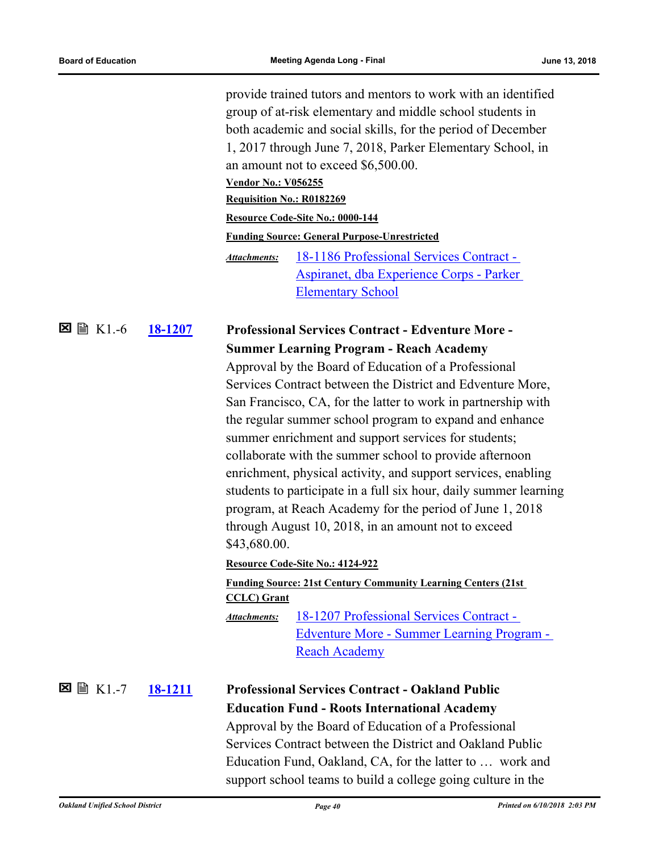provide trained tutors and mentors to work with an identified group of at-risk elementary and middle school students in both academic and social skills, for the period of December 1, 2017 through June 7, 2018, Parker Elementary School, in an amount not to exceed \$6,500.00. **Vendor No.: V056255 Requisition No.: R0182269 Resource Code-Site No.: 0000-144 Funding Source: General Purpose-Unrestricted** 18-1186 Professional Services Contract - [Aspiranet, dba Experience Corps - Parker](http://ousd.legistar.com/gateway.aspx?M=F&ID=88946.pdf)  Elementary School *Attachments:*

#### **[18-1207](http://ousd.legistar.com/gateway.aspx?m=l&id=/matter.aspx?key=43387) Professional Services Contract - Edventure More - Summer Learning Program - Reach Academy 図 圖 K1.-6**

Approval by the Board of Education of a Professional Services Contract between the District and Edventure More, San Francisco, CA, for the latter to work in partnership with the regular summer school program to expand and enhance summer enrichment and support services for students; collaborate with the summer school to provide afternoon enrichment, physical activity, and support services, enabling students to participate in a full six hour, daily summer learning program, at Reach Academy for the period of June 1, 2018 through August 10, 2018, in an amount not to exceed \$43,680.00.

#### **Resource Code-Site No.: 4124-922**

#### **Funding Source: 21st Century Community Learning Centers (21st CCLC) Grant**

18-1207 Professional Services Contract - [Edventure More - Summer Learning Program -](http://ousd.legistar.com/gateway.aspx?M=F&ID=88642.pdf)  Reach Academy *Attachments:*

## K1.-7

## **[18-1211](http://ousd.legistar.com/gateway.aspx?m=l&id=/matter.aspx?key=43391) Professional Services Contract - Oakland Public Education Fund - Roots International Academy**

Approval by the Board of Education of a Professional Services Contract between the District and Oakland Public Education Fund, Oakland, CA, for the latter to … work and support school teams to build a college going culture in the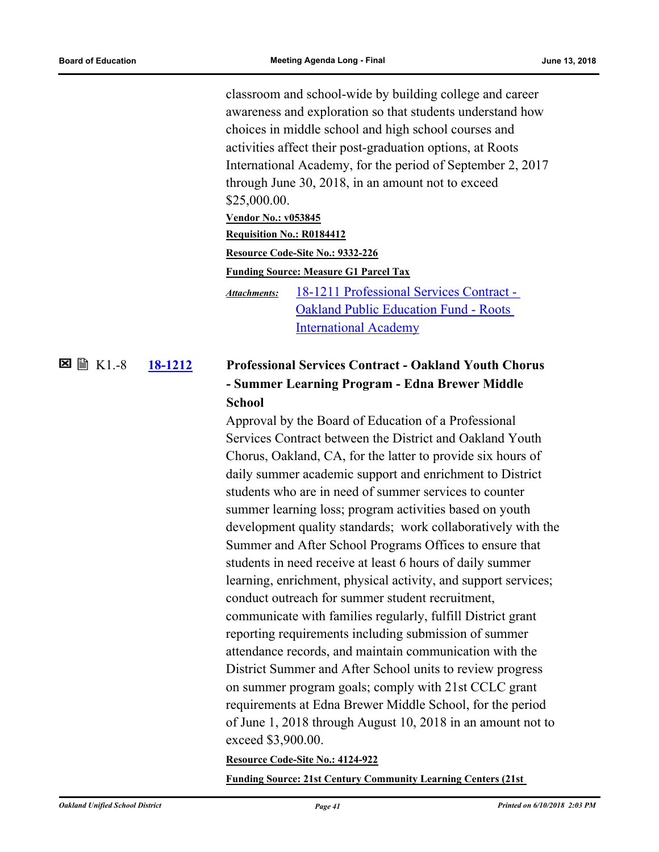classroom and school-wide by building college and career awareness and exploration so that students understand how choices in middle school and high school courses and activities affect their post-graduation options, at Roots International Academy, for the period of September 2, 2017 through June 30, 2018, in an amount not to exceed \$25,000.00. **Vendor No.: v053845 Requisition No.: R0184412 Resource Code-Site No.: 9332-226 Funding Source: Measure G1 Parcel Tax** [18-1211 Professional Services Contract -](http://ousd.legistar.com/gateway.aspx?M=F&ID=88947.pdf)  Oakland Public Education Fund - Roots International Academy *Attachments:*

#### **[18-1212](http://ousd.legistar.com/gateway.aspx?m=l&id=/matter.aspx?key=43392) Professional Services Contract - Oakland Youth Chorus - Summer Learning Program - Edna Brewer Middle School**  $\Sigma \cong K1.-8$

Approval by the Board of Education of a Professional Services Contract between the District and Oakland Youth Chorus, Oakland, CA, for the latter to provide six hours of daily summer academic support and enrichment to District students who are in need of summer services to counter summer learning loss; program activities based on youth development quality standards; work collaboratively with the Summer and After School Programs Offices to ensure that students in need receive at least 6 hours of daily summer learning, enrichment, physical activity, and support services; conduct outreach for summer student recruitment, communicate with families regularly, fulfill District grant reporting requirements including submission of summer attendance records, and maintain communication with the District Summer and After School units to review progress on summer program goals; comply with 21st CCLC grant requirements at Edna Brewer Middle School, for the period of June 1, 2018 through August 10, 2018 in an amount not to exceed \$3,900.00.

**Resource Code-Site No.: 4124-922**

**Funding Source: 21st Century Community Learning Centers (21st**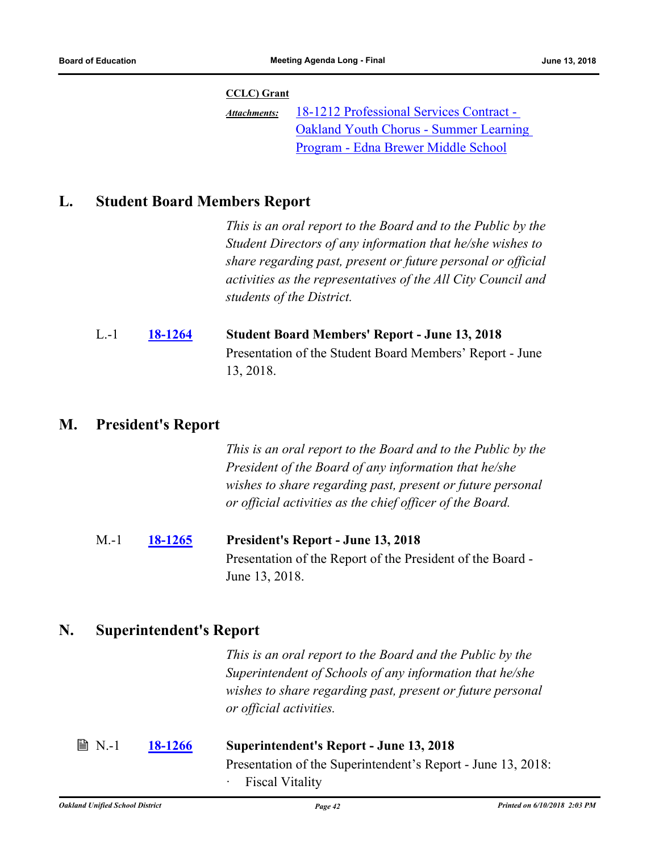#### **CCLC) Grant**

18-1212 Professional Services Contract - [Oakland Youth Chorus - Summer Learning](http://ousd.legistar.com/gateway.aspx?M=F&ID=88639.pdf)  Program - Edna Brewer Middle School *Attachments:*

## **L. Student Board Members Report**

*This is an oral report to the Board and to the Public by the Student Directors of any information that he/she wishes to share regarding past, present or future personal or official activities as the representatives of the All City Council and students of the District.*

| $L - 1$ | <b>18-1264</b> | <b>Student Board Members' Report - June 13, 2018</b>     |
|---------|----------------|----------------------------------------------------------|
|         |                | Presentation of the Student Board Members' Report - June |
|         |                | 13, 2018.                                                |

## **M. President's Report**

*This is an oral report to the Board and to the Public by the President of the Board of any information that he/she wishes to share regarding past, present or future personal or official activities as the chief officer of the Board.*

M.-1 **[18-1265](http://ousd.legistar.com/gateway.aspx?m=l&id=/matter.aspx?key=43445) President's Report - June 13, 2018** Presentation of the Report of the President of the Board - June 13, 2018.

### **N. Superintendent's Report**

*This is an oral report to the Board and the Public by the Superintendent of Schools of any information that he/she wishes to share regarding past, present or future personal or official activities.*

| $\n  B N.-1\n$ | <b>18-1266</b> | <b>Superintendent's Report - June 13, 2018</b>               |
|----------------|----------------|--------------------------------------------------------------|
|                |                | Presentation of the Superintendent's Report - June 13, 2018: |
|                |                | · Fiscal Vitality                                            |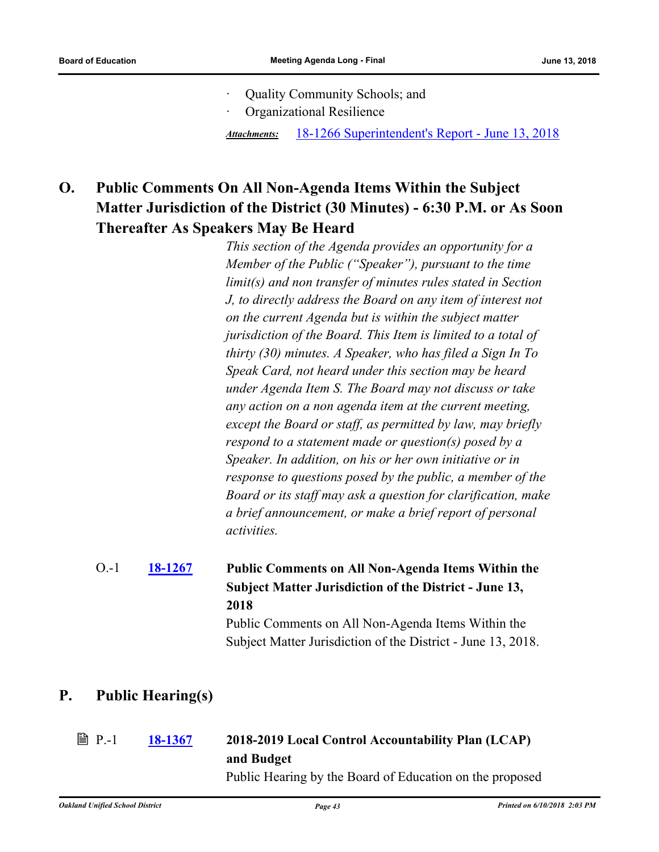- · Quality Community Schools; and
- · Organizational Resilience

*Attachments:* [18-1266 Superintendent's Report - June 13, 2018](http://ousd.legistar.com/gateway.aspx?M=F&ID=88918.pdf)

## **O. Public Comments On All Non-Agenda Items Within the Subject Matter Jurisdiction of the District (30 Minutes) - 6:30 P.M. or As Soon Thereafter As Speakers May Be Heard**

*This section of the Agenda provides an opportunity for a Member of the Public ("Speaker"), pursuant to the time limit(s) and non transfer of minutes rules stated in Section J, to directly address the Board on any item of interest not on the current Agenda but is within the subject matter jurisdiction of the Board. This Item is limited to a total of thirty (30) minutes. A Speaker, who has filed a Sign In To Speak Card, not heard under this section may be heard under Agenda Item S. The Board may not discuss or take any action on a non agenda item at the current meeting, except the Board or staff, as permitted by law, may briefly respond to a statement made or question(s) posed by a Speaker. In addition, on his or her own initiative or in response to questions posed by the public, a member of the Board or its staff may ask a question for clarification, make a brief announcement, or make a brief report of personal activities.*

#### **[18-1267](http://ousd.legistar.com/gateway.aspx?m=l&id=/matter.aspx?key=43447) Public Comments on All Non-Agenda Items Within the Subject Matter Jurisdiction of the District - June 13, 2018** O.-1

Public Comments on All Non-Agenda Items Within the Subject Matter Jurisdiction of the District - June 13, 2018.

## **P. Public Hearing(s)**

## **[18-1367](http://ousd.legistar.com/gateway.aspx?m=l&id=/matter.aspx?key=43547) 2018-2019 Local Control Accountability Plan (LCAP) and Budget ■ P.-1**

Public Hearing by the Board of Education on the proposed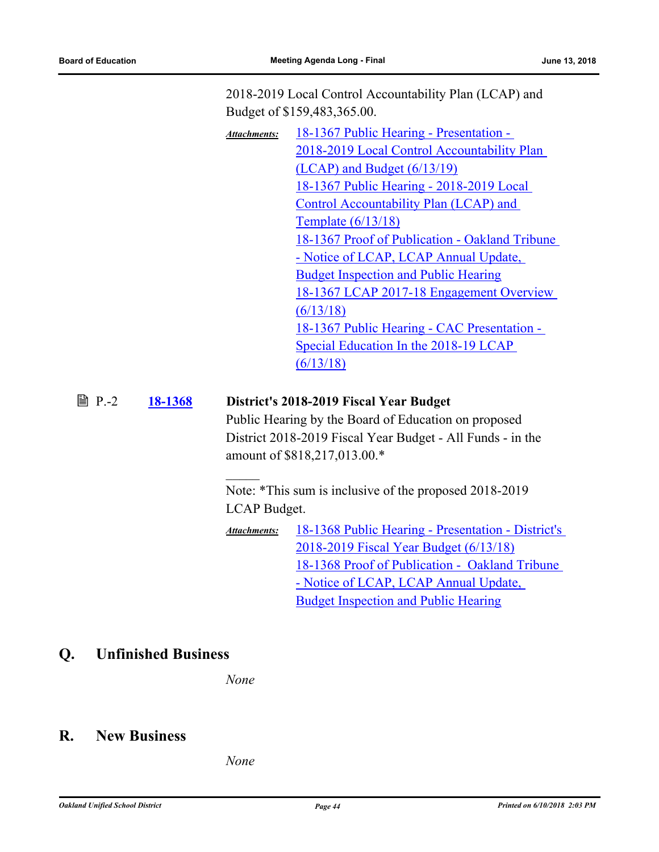2018-2019 Local Control Accountability Plan (LCAP) and Budget of \$159,483,365.00.

18-1367 Public Hearing - Presentation - [2018-2019 Local Control Accountability Plan](http://ousd.legistar.com/gateway.aspx?M=F&ID=88919.pptx)  (LCAP) and Budget (6/13/19) [18-1367 Public Hearing - 2018-2019 Local](http://ousd.legistar.com/gateway.aspx?M=F&ID=88920.pdf)  Control Accountability Plan (LCAP) and Template (6/13/18) [18-1367 Proof of Publication - Oakland Tribune](http://ousd.legistar.com/gateway.aspx?M=F&ID=88924.pdf)  - Notice of LCAP, LCAP Annual Update, Budget Inspection and Public Hearing [18-1367 LCAP 2017-18 Engagement Overview](http://ousd.legistar.com/gateway.aspx?M=F&ID=88921.pdf)  (6/13/18) [18-1367 Public Hearing - CAC Presentation -](http://ousd.legistar.com/gateway.aspx?M=F&ID=88922.pptx)  Special Education In the 2018-19 LCAP (6/13/18) *Attachments:*

### P.-2 **[18-1368](http://ousd.legistar.com/gateway.aspx?m=l&id=/matter.aspx?key=43548) District's 2018-2019 Fiscal Year Budget**

Public Hearing by the Board of Education on proposed District 2018-2019 Fiscal Year Budget - All Funds - in the amount of \$818,217,013.00.\*

Note: \*This sum is inclusive of the proposed 2018-2019 LCAP Budget.

[18-1368 Public Hearing - Presentation - District's](http://ousd.legistar.com/gateway.aspx?M=F&ID=88923.pptx)  2018-2019 Fiscal Year Budget (6/13/18) [18-1368 Proof of Publication - Oakland Tribune](http://ousd.legistar.com/gateway.aspx?M=F&ID=88925.pdf)  - Notice of LCAP, LCAP Annual Update, Budget Inspection and Public Hearing *Attachments:*

## **Q. Unfinished Business**

*None*

### **R. New Business**

*None*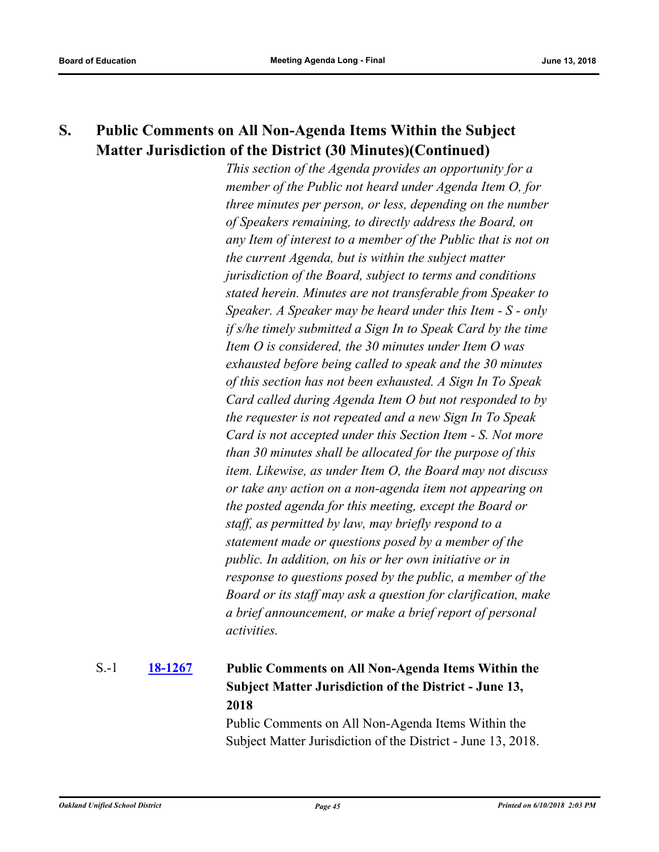## **S. Public Comments on All Non-Agenda Items Within the Subject Matter Jurisdiction of the District (30 Minutes)(Continued)**

*This section of the Agenda provides an opportunity for a member of the Public not heard under Agenda Item O, for three minutes per person, or less, depending on the number of Speakers remaining, to directly address the Board, on any Item of interest to a member of the Public that is not on the current Agenda, but is within the subject matter jurisdiction of the Board, subject to terms and conditions stated herein. Minutes are not transferable from Speaker to Speaker. A Speaker may be heard under this Item - S - only if s/he timely submitted a Sign In to Speak Card by the time Item O is considered, the 30 minutes under Item O was exhausted before being called to speak and the 30 minutes of this section has not been exhausted. A Sign In To Speak Card called during Agenda Item O but not responded to by the requester is not repeated and a new Sign In To Speak Card is not accepted under this Section Item - S. Not more than 30 minutes shall be allocated for the purpose of this item. Likewise, as under Item O, the Board may not discuss or take any action on a non-agenda item not appearing on the posted agenda for this meeting, except the Board or staff, as permitted by law, may briefly respond to a statement made or questions posed by a member of the public. In addition, on his or her own initiative or in response to questions posed by the public, a member of the Board or its staff may ask a question for clarification, make a brief announcement, or make a brief report of personal activities.*

### **[18-1267](http://ousd.legistar.com/gateway.aspx?m=l&id=/matter.aspx?key=43447) Public Comments on All Non-Agenda Items Within the Subject Matter Jurisdiction of the District - June 13, 2018** S.-1

Public Comments on All Non-Agenda Items Within the Subject Matter Jurisdiction of the District - June 13, 2018.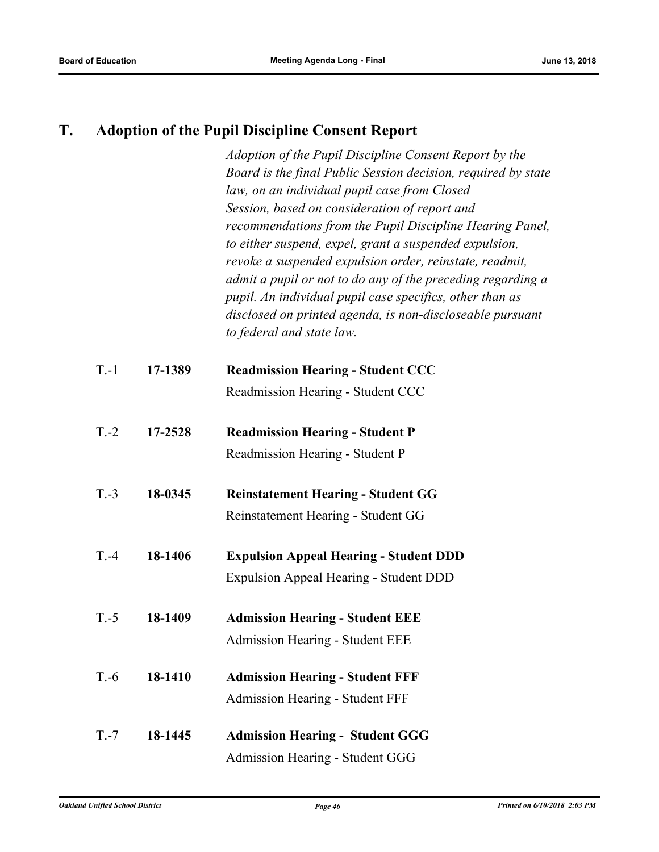## **T. Adoption of the Pupil Discipline Consent Report**

*Adoption of the Pupil Discipline Consent Report by the Board is the final Public Session decision, required by state law, on an individual pupil case from Closed Session, based on consideration of report and recommendations from the Pupil Discipline Hearing Panel, to either suspend, expel, grant a suspended expulsion, revoke a suspended expulsion order, reinstate, readmit, admit a pupil or not to do any of the preceding regarding a pupil. An individual pupil case specifics, other than as disclosed on printed agenda, is non-discloseable pursuant to federal and state law.*

| $T-1$  | 17-1389 | <b>Readmission Hearing - Student CCC</b>      |
|--------|---------|-----------------------------------------------|
|        |         | Readmission Hearing - Student CCC             |
| $T.-2$ | 17-2528 | <b>Readmission Hearing - Student P</b>        |
|        |         | Readmission Hearing - Student P               |
| $T.-3$ | 18-0345 | <b>Reinstatement Hearing - Student GG</b>     |
|        |         | Reinstatement Hearing - Student GG            |
| $T.-4$ | 18-1406 | <b>Expulsion Appeal Hearing - Student DDD</b> |
|        |         | <b>Expulsion Appeal Hearing - Student DDD</b> |
| $T.-5$ | 18-1409 | <b>Admission Hearing - Student EEE</b>        |
|        |         | Admission Hearing - Student EEE               |
| $T.-6$ | 18-1410 | <b>Admission Hearing - Student FFF</b>        |
|        |         | <b>Admission Hearing - Student FFF</b>        |
| $T.-7$ | 18-1445 | <b>Admission Hearing - Student GGG</b>        |
|        |         | Admission Hearing - Student GGG               |